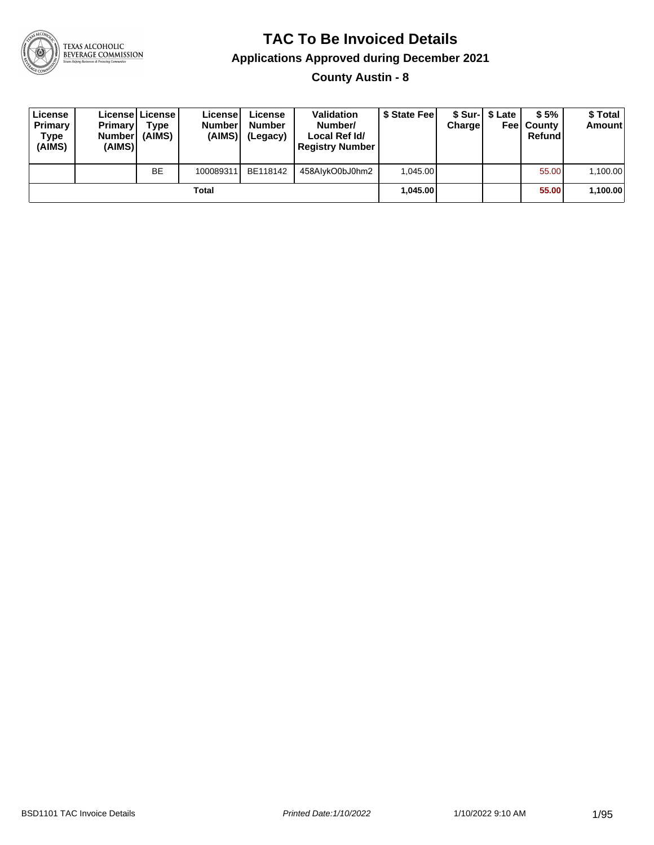

#### **TAC To Be Invoiced Details**

#### **Applications Approved during December 2021**

**County Austin - 8**

| License<br>Primary<br>Type<br>(AIMS) | <b>Primary</b><br>Number<br>(AIMS) | License   License  <br>Type<br>(AIMS) | Licensel<br><b>Number</b><br>(AIMS) | License<br><b>Number</b><br>(Legacy) | <b>Validation</b><br>Number/<br>Local Ref Id/<br><b>Registry Number</b> | \$ State Fee | <b>Charge</b> | \$ Sur-1 \$ Late | \$5%<br><b>Feel County</b><br>Refund | \$ Total<br><b>Amount</b> |
|--------------------------------------|------------------------------------|---------------------------------------|-------------------------------------|--------------------------------------|-------------------------------------------------------------------------|--------------|---------------|------------------|--------------------------------------|---------------------------|
|                                      |                                    | <b>BE</b>                             | 100089311                           | BE118142                             | 458AlvkO0bJ0hm2                                                         | 1.045.00     |               |                  | 55.00                                | 1.100.00                  |
|                                      |                                    |                                       | Total                               |                                      |                                                                         | 1,045.00     |               |                  | 55.00                                | 1,100.00                  |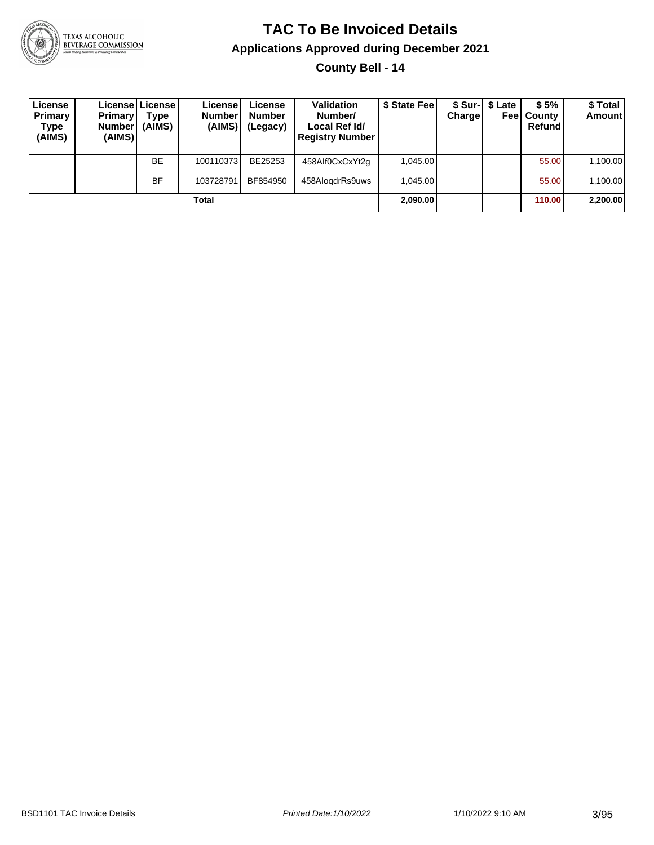

#### **TAC To Be Invoiced Details Applications Approved during December 2021 County Bell - 14**

| License<br>Primary<br>Type<br>(AIMS) | <b>Primary</b><br><b>Number</b><br>(AIMS) | License   License  <br>Type<br>(AIMS) | License<br><b>Number</b><br>(AIMS) | License<br><b>Number</b><br>(Legacy) | <b>Validation</b><br>Number/<br>Local Ref Id/<br><b>Registry Number</b> | \$ State Fee | <b>Charge</b> | \$ Sur-  \$ Late<br>Feel | \$5%<br>County<br>Refund | \$ Total<br><b>Amount</b> |
|--------------------------------------|-------------------------------------------|---------------------------------------|------------------------------------|--------------------------------------|-------------------------------------------------------------------------|--------------|---------------|--------------------------|--------------------------|---------------------------|
|                                      |                                           | <b>BE</b>                             | 100110373                          | BE25253                              | 458Alf0CxCxYt2q                                                         | 1.045.00     |               |                          | 55.00                    | 1,100.00                  |
|                                      |                                           | <b>BF</b>                             | 103728791                          | BF854950                             | 458AlogdrRs9uws                                                         | 1.045.00     |               |                          | 55.00                    | 1,100.00                  |
|                                      |                                           |                                       | Total                              |                                      |                                                                         | 2,090.00     |               |                          | 110.00                   | 2,200.00                  |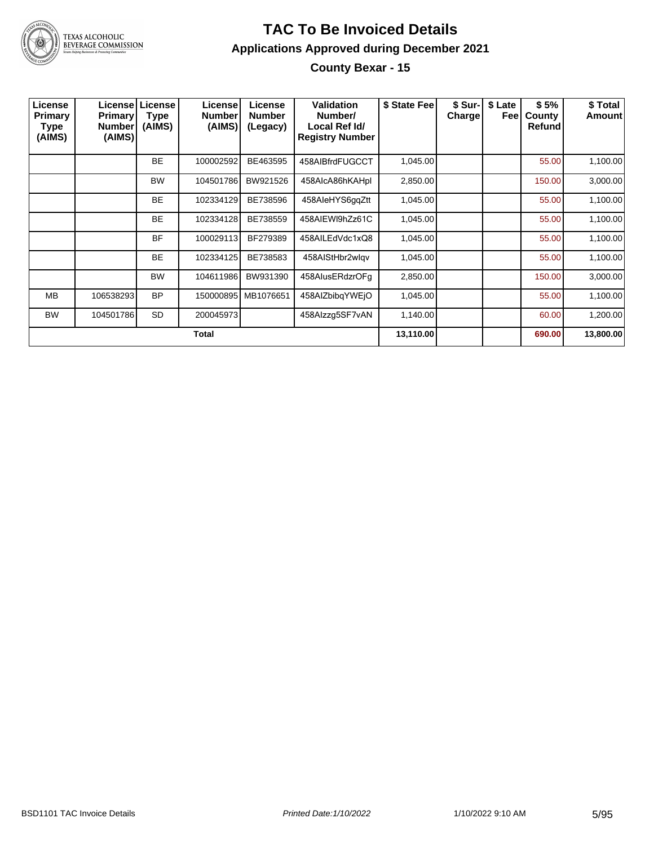

#### **TAC To Be Invoiced Details Applications Approved during December 2021 County Bexar - 15**

| License<br><b>Primary</b><br>Type<br>(AIMS) | <b>Primary</b><br><b>Number</b><br>(AIMS) | Licensel License<br>Type<br>(AIMS) | License<br><b>Number</b><br>(AIMS) | License<br><b>Number</b><br>(Legacy) | <b>Validation</b><br>Number/<br>Local Ref Id/<br><b>Registry Number</b> | \$ State Fee | \$ Sur-<br><b>Charge</b> | \$ Late<br>Feel | \$5%<br>County<br>Refund | \$ Total<br>Amount |
|---------------------------------------------|-------------------------------------------|------------------------------------|------------------------------------|--------------------------------------|-------------------------------------------------------------------------|--------------|--------------------------|-----------------|--------------------------|--------------------|
|                                             |                                           | <b>BE</b>                          | 100002592                          | BE463595                             | 458AIBfrdFUGCCT                                                         | 1,045.00     |                          |                 | 55.00                    | 1,100.00           |
|                                             |                                           | <b>BW</b>                          | 104501786                          | BW921526                             | 458AlcA86hKAHpl                                                         | 2,850.00     |                          |                 | 150.00                   | 3,000.00           |
|                                             |                                           | <b>BE</b>                          | 102334129                          | BE738596                             | 458AleHYS6qqZtt                                                         | 1,045.00     |                          |                 | 55.00                    | 1,100.00           |
|                                             |                                           | <b>BE</b>                          | 102334128                          | BE738559                             | 458AIEWI9hZz61C                                                         | 1,045.00     |                          |                 | 55.00                    | 1,100.00           |
|                                             |                                           | <b>BF</b>                          | 100029113                          | BF279389                             | 458AILEdVdc1xQ8                                                         | 1,045.00     |                          |                 | 55.00                    | 1,100.00           |
|                                             |                                           | <b>BE</b>                          | 102334125                          | BE738583                             | 458AIStHbr2wlgv                                                         | 1,045.00     |                          |                 | 55.00                    | 1,100.00           |
|                                             |                                           | <b>BW</b>                          | 104611986                          | BW931390                             | 458AlusERdzrOFg                                                         | 2,850.00     |                          |                 | 150.00                   | 3,000.00           |
| <b>MB</b>                                   | 106538293                                 | <b>BP</b>                          | 150000895                          | MB1076651                            | 458AIZbibqYWEjO                                                         | 1,045.00     |                          |                 | 55.00                    | 1,100.00           |
| <b>BW</b>                                   | 104501786                                 | <b>SD</b>                          | 200045973                          |                                      | 458Alzzg5SF7vAN                                                         | 1,140.00     |                          |                 | 60.00                    | 1,200.00           |
|                                             |                                           |                                    | <b>Total</b>                       |                                      |                                                                         | 13,110.00    |                          |                 | 690.00                   | 13,800.00          |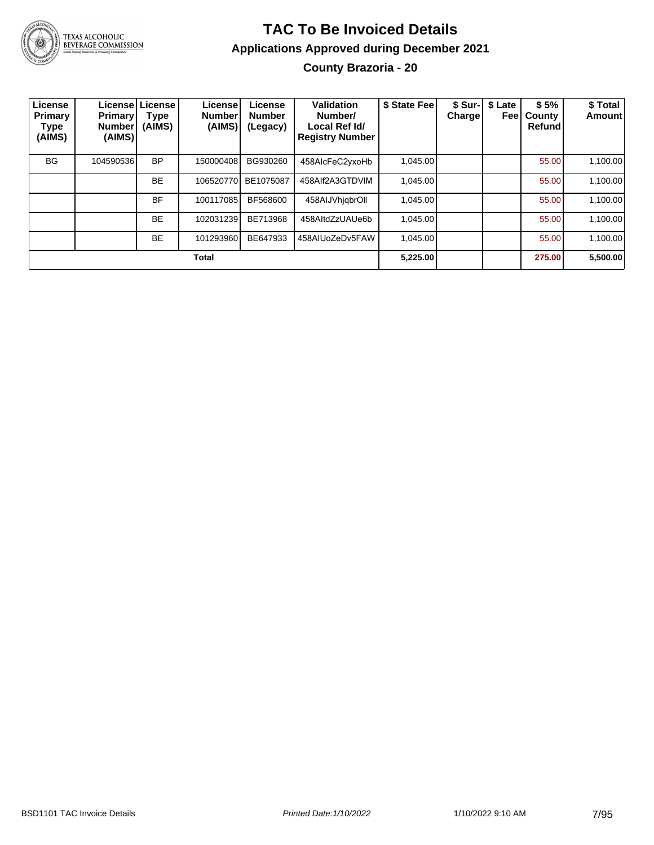

#### **TAC To Be Invoiced Details Applications Approved during December 2021 County Brazoria - 20**

| License<br>Primary<br>Type<br>(AIMS) | <b>Primary</b><br>Number!<br>(AIMS) | Licensel License<br>Type<br>(AIMS) | License!<br><b>Number</b><br>(AIMS) | License<br><b>Number</b><br>(Legacy) | Validation<br>Number/<br>Local Ref Id/<br><b>Registry Number</b> | \$ State Fee | \$ Sur-<br>Charge | \$ Late<br>Feel | \$5%<br>County<br>Refund | \$ Total<br>Amount |
|--------------------------------------|-------------------------------------|------------------------------------|-------------------------------------|--------------------------------------|------------------------------------------------------------------|--------------|-------------------|-----------------|--------------------------|--------------------|
| <b>BG</b>                            | 104590536                           | <b>BP</b>                          | 150000408                           | BG930260                             | 458AlcFeC2yxoHb                                                  | 1,045.00     |                   |                 | 55.00                    | 1,100.00           |
|                                      |                                     | <b>BE</b>                          | 106520770                           | BE1075087                            | 458Alf2A3GTDVIM                                                  | 1.045.00     |                   |                 | 55.00                    | 1,100.00           |
|                                      |                                     | <b>BF</b>                          | 100117085                           | BF568600                             | 458AIJVhjqbrOll                                                  | 1.045.00     |                   |                 | 55.00                    | 1,100.00           |
|                                      |                                     | <b>BE</b>                          | 102031239                           | BE713968                             | 458AltdZzUAUe6b                                                  | 1,045.00     |                   |                 | 55.00                    | 1,100.00           |
|                                      |                                     | <b>BE</b>                          | 101293960                           | BE647933                             | 458AIUoZeDv5FAW                                                  | 1.045.00     |                   |                 | 55.00                    | 1,100.00           |
|                                      |                                     |                                    | <b>Total</b>                        |                                      |                                                                  | 5,225.00     |                   |                 | 275.00                   | 5,500.00           |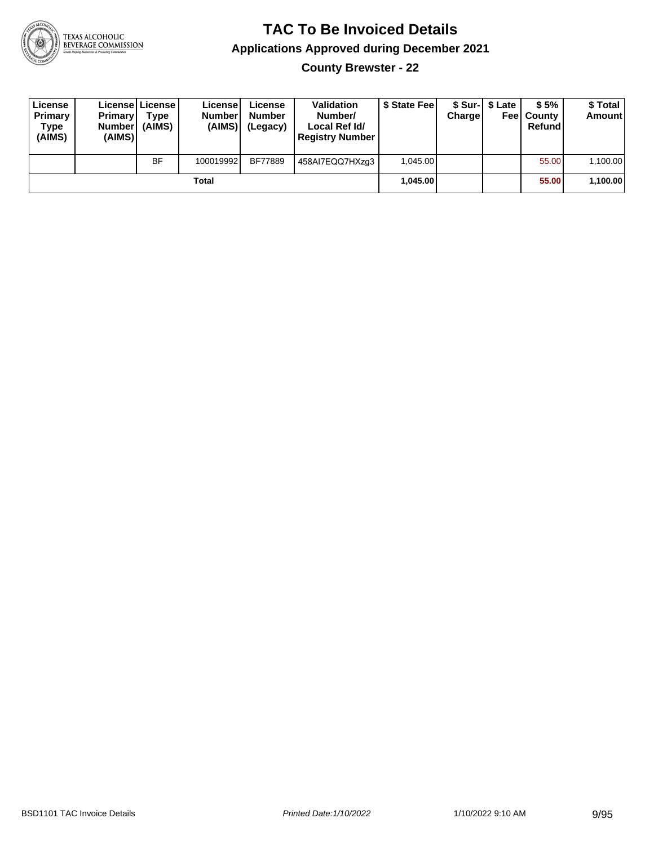

**County Brewster - 22**

| License<br>Primary<br>Type<br>(AIMS) | <b>Primary</b><br><b>Number</b><br>(AIMS) | License   License  <br>Type<br>(AIMS) | License<br><b>Number</b><br>(AIMS) | License<br><b>Number</b><br>(Legacy) | <b>Validation</b><br>Number/<br>Local Ref Id/<br><b>Registry Number</b> | \$ State Feel | Charge | \$ Sur-1 \$ Late | \$5%<br><b>Feel County</b><br>Refund | \$ Total<br>Amount |
|--------------------------------------|-------------------------------------------|---------------------------------------|------------------------------------|--------------------------------------|-------------------------------------------------------------------------|---------------|--------|------------------|--------------------------------------|--------------------|
|                                      |                                           | <b>BF</b>                             | 100019992                          | BF77889                              | 458AI7EQQ7HXzq3                                                         | 1.045.00      |        |                  | 55.00                                | 1,100.00           |
|                                      |                                           |                                       | Total                              |                                      |                                                                         | 1.045.00      |        |                  | 55.00                                | 1,100.00           |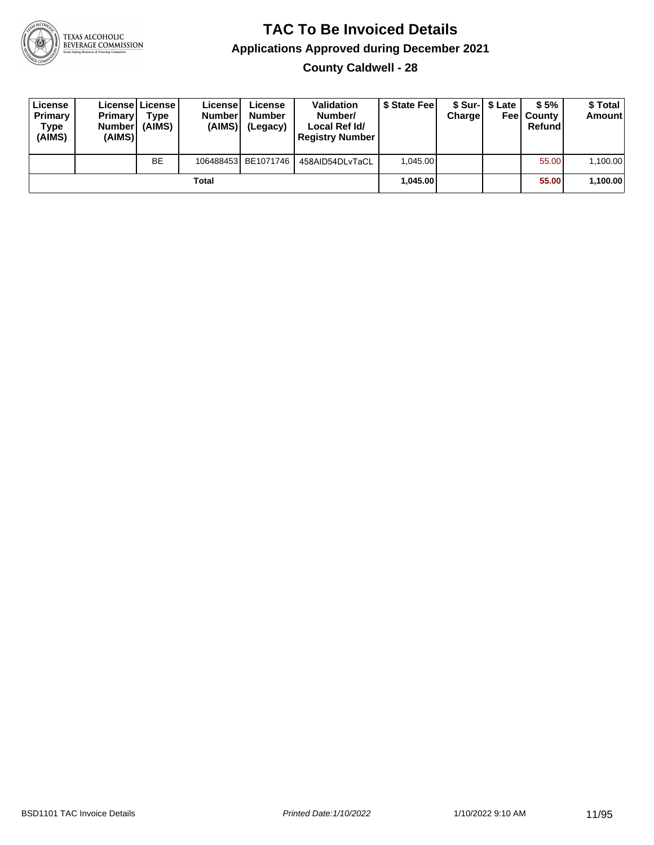

**County Caldwell - 28**

| License<br>Primary<br>Type<br>(AIMS) | <b>Primary</b><br><b>Number</b><br>(AIMS) | <b>License   License</b><br>Type<br>(AIMS) | License<br><b>Number</b><br>(AIMS) | License<br>Number<br>(Legacy) | <b>Validation</b><br>Number/<br>Local Ref Id/<br><b>Registry Number</b> | \$ State Feel | Charge | \$ Sur-1 \$ Late | \$5%<br><b>Feel County</b><br>Refund | \$ Total<br><b>Amount</b> |
|--------------------------------------|-------------------------------------------|--------------------------------------------|------------------------------------|-------------------------------|-------------------------------------------------------------------------|---------------|--------|------------------|--------------------------------------|---------------------------|
|                                      |                                           | <b>BE</b>                                  |                                    | 106488453 BE1071746           | 458AID54DLvTaCL                                                         | 1.045.00      |        |                  | 55.00                                | 1,100.00                  |
|                                      |                                           |                                            | Total                              |                               |                                                                         | 1.045.00      |        |                  | 55.00                                | 1,100.00                  |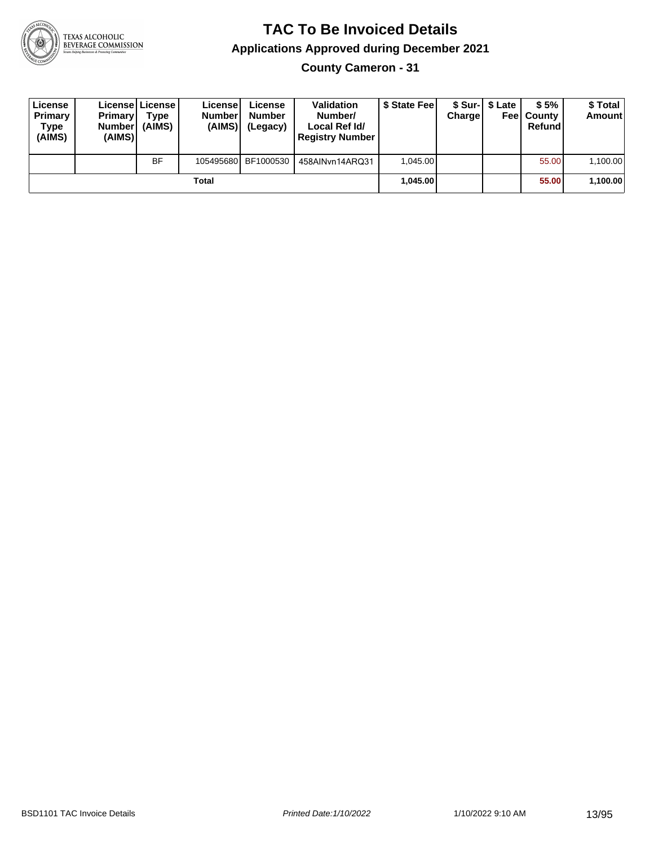

**County Cameron - 31**

| License<br>Primary<br>Type<br>(AIMS) | <b>Primary</b><br><b>Number</b><br>(AIMS) | License   License  <br>Type<br>(AIMS) | License<br><b>Number</b><br>(AIMS) | License<br><b>Number</b><br>(Legacy) | <b>Validation</b><br>Number/<br>Local Ref Id/<br><b>Registry Number</b> | \$ State Feel | Charge | \$ Sur-1 \$ Late | \$5%<br><b>Feel County</b><br>Refund | \$ Total<br><b>Amount</b> |
|--------------------------------------|-------------------------------------------|---------------------------------------|------------------------------------|--------------------------------------|-------------------------------------------------------------------------|---------------|--------|------------------|--------------------------------------|---------------------------|
|                                      |                                           | <b>BF</b>                             |                                    | 105495680 BF1000530                  | 458AINvn14ARQ31                                                         | 1.045.00      |        |                  | 55.00                                | 1,100.00                  |
|                                      |                                           |                                       | Total                              |                                      |                                                                         | 1.045.00      |        |                  | 55.00                                | 1,100.00                  |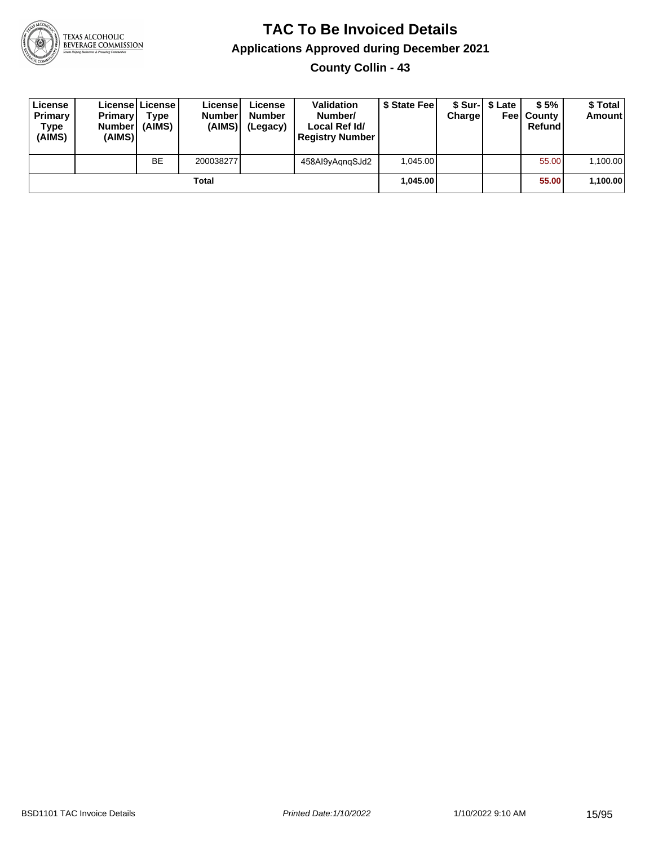

**County Collin - 43**

| License<br>Primary<br>Type<br>(AIMS) | <b>Primary</b><br><b>Number</b><br>(AIMS) | <b>License   License</b><br>Type<br>(AIMS) | License<br><b>Number</b><br>(AIMS) | License<br><b>Number</b><br>(Legacy) | <b>Validation</b><br>Number/<br>Local Ref Id/<br><b>Registry Number</b> | \$ State Feel | Charge | \$ Sur-1 \$ Late | \$5%<br><b>Feel County</b><br>Refund | \$ Total<br><b>Amount</b> |
|--------------------------------------|-------------------------------------------|--------------------------------------------|------------------------------------|--------------------------------------|-------------------------------------------------------------------------|---------------|--------|------------------|--------------------------------------|---------------------------|
|                                      |                                           | <b>BE</b>                                  | 200038277                          |                                      | 458Al9yAgngSJd2                                                         | 1.045.00      |        |                  | 55.00                                | 1,100.00                  |
|                                      |                                           |                                            | Total                              |                                      |                                                                         | 1.045.00      |        |                  | 55.00                                | 1,100.00                  |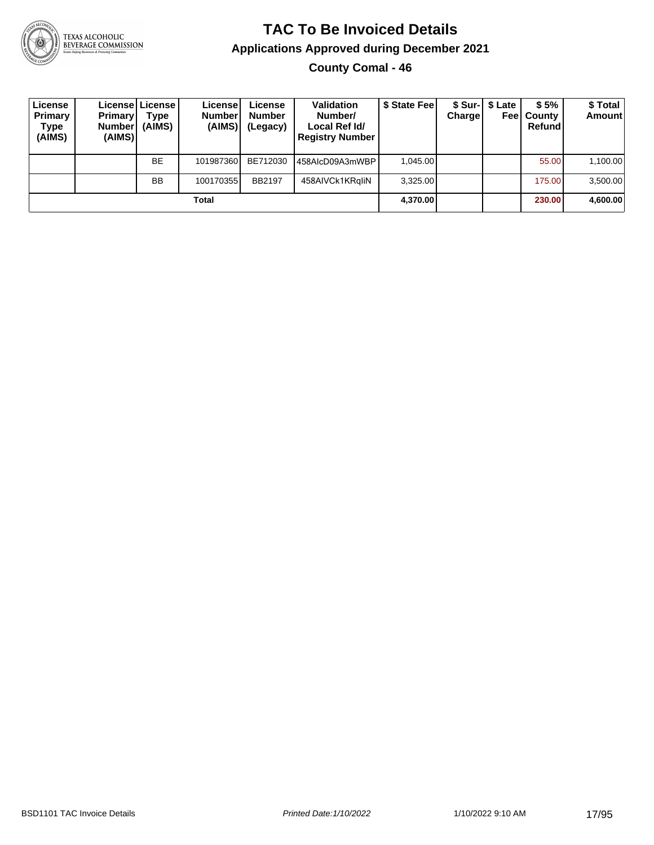

# **TAC To Be Invoiced Details Applications Approved during December 2021**

**County Comal - 46**

| License<br>Primary<br>Type<br>(AIMS) | <b>Primary</b><br><b>Number</b><br>(AIMS) | Licensel License I<br>Type<br>(AIMS) | License<br><b>Numberl</b><br>(AIMS) | License<br><b>Number</b><br>(Legacy) | <b>Validation</b><br>Number/<br>Local Ref Id/<br><b>Registry Number</b> | \$ State Feel | Charge | \$ Sur-1 \$ Late | \$5%<br><b>Feel County</b><br>Refund | \$ Total<br><b>Amount</b> |
|--------------------------------------|-------------------------------------------|--------------------------------------|-------------------------------------|--------------------------------------|-------------------------------------------------------------------------|---------------|--------|------------------|--------------------------------------|---------------------------|
|                                      |                                           | <b>BE</b>                            | 101987360                           | BE712030                             | 458AlcD09A3mWBP I                                                       | 1.045.00      |        |                  | 55.00                                | 1,100.00                  |
|                                      |                                           | <b>BB</b>                            | 100170355                           | <b>BB2197</b>                        | 458AIVCk1KRgliN                                                         | 3.325.00      |        |                  | 175.00                               | 3,500.00                  |
|                                      |                                           |                                      | Total                               |                                      |                                                                         | 4,370.00      |        |                  | 230.00                               | 4,600.00                  |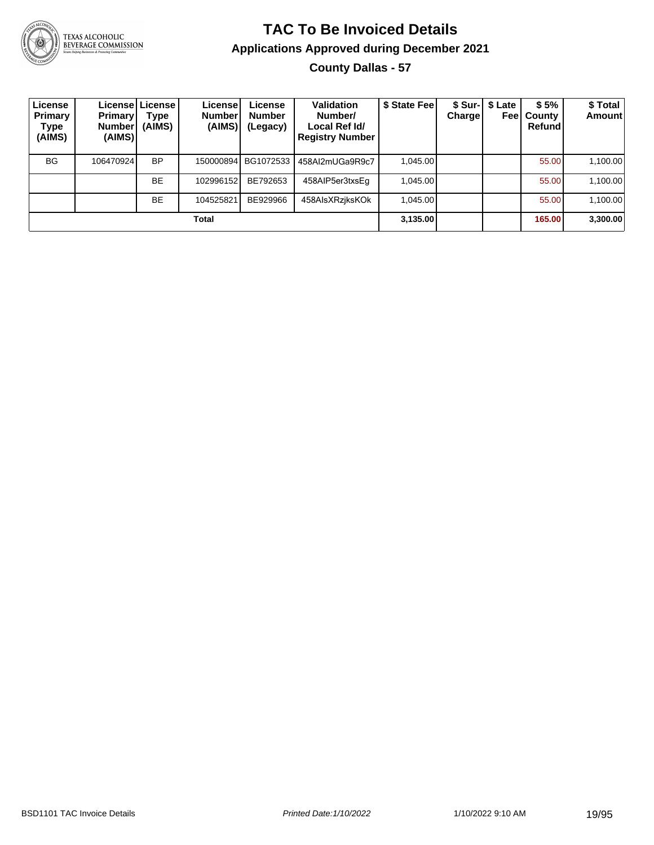

#### **TAC To Be Invoiced Details Applications Approved during December 2021 County Dallas - 57**

| License<br>Primary<br>Type<br>(AIMS) | Primary<br><b>Number</b><br>(AIMS) | License   License  <br>Type<br>(AIMS) | License!<br><b>Number</b><br>(AIMS) | License<br><b>Number</b><br>(Legacy) | Validation<br>Number/<br>Local Ref Id/<br><b>Registry Number</b> | \$ State Fee | Charge | \$ Sur-1 \$ Late<br>Feel | \$5%<br>County<br>Refund | \$ Total<br><b>Amount</b> |
|--------------------------------------|------------------------------------|---------------------------------------|-------------------------------------|--------------------------------------|------------------------------------------------------------------|--------------|--------|--------------------------|--------------------------|---------------------------|
| <b>BG</b>                            | 106470924                          | <b>BP</b>                             | 150000894                           | BG1072533                            | 458Al2mUGa9R9c7                                                  | 1.045.00     |        |                          | 55.00                    | 1,100.00                  |
|                                      |                                    | <b>BE</b>                             | 102996152                           | BE792653                             | 458AIP5er3txsEq                                                  | 1.045.00     |        |                          | 55.00                    | 1,100.00                  |
|                                      |                                    | <b>BE</b>                             | 104525821                           | BE929966                             | 458AlsXRzjksKOk                                                  | 1.045.00     |        |                          | 55.00                    | 1,100.00                  |
|                                      |                                    |                                       | Total                               |                                      |                                                                  | 3,135.00     |        |                          | 165.00                   | 3,300.00                  |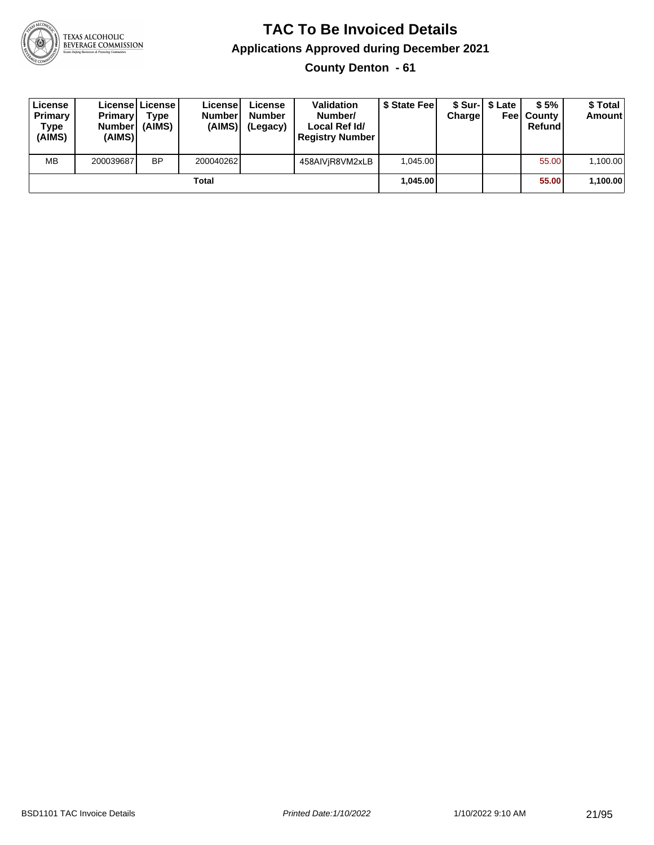

**County Denton - 61**

| License<br>Primary<br>Type<br>(AIMS) | <b>Primary</b><br>Number<br>(AIMS) | License License<br>Type<br>(AIMS) | License<br><b>Number</b><br>(AIMS) | License<br><b>Number</b><br>(Legacy) | <b>Validation</b><br>Number/<br>Local Ref Id/<br><b>Registry Number</b> | \$ State Feel | Charge | \$ Sur-1 \$ Late | \$5%<br><b>Feel County</b><br>Refund | \$ Total<br><b>Amount</b> |
|--------------------------------------|------------------------------------|-----------------------------------|------------------------------------|--------------------------------------|-------------------------------------------------------------------------|---------------|--------|------------------|--------------------------------------|---------------------------|
| <b>MB</b>                            | 200039687                          | <b>BP</b>                         | 200040262                          |                                      | 458AIViR8VM2xLB                                                         | 1.045.00      |        |                  | 55.00                                | 1,100.00                  |
|                                      |                                    |                                   | Total                              |                                      |                                                                         | 1.045.00      |        |                  | 55.00                                | 1,100.00                  |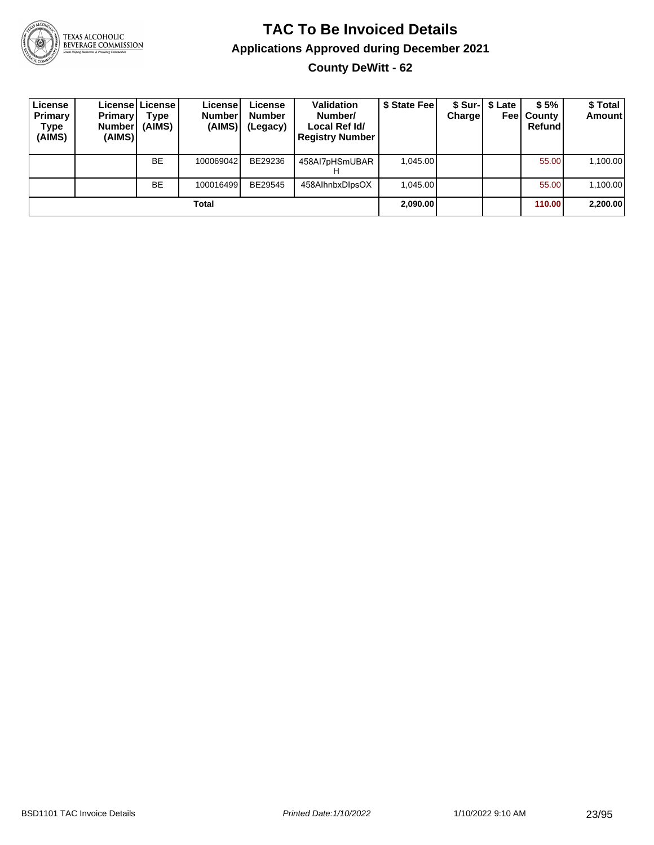

# **TAC To Be Invoiced Details Applications Approved during December 2021**

**County DeWitt - 62**

| License<br>Primary<br>Type<br>(AIMS) | <b>Primary</b><br><b>Number</b><br>(AIMS) | Licensel License I<br>Type<br>(AIMS) | License<br>Number<br>(AIMS) | License<br><b>Number</b><br>(Legacy) | <b>Validation</b><br>Number/<br>Local Ref Id/<br><b>Registry Number</b> | \$ State Feel | <b>Charge</b> | \$ Sur-1 \$ Late<br>Feel | \$5%<br>County<br>Refund | \$ Total<br><b>Amount</b> |
|--------------------------------------|-------------------------------------------|--------------------------------------|-----------------------------|--------------------------------------|-------------------------------------------------------------------------|---------------|---------------|--------------------------|--------------------------|---------------------------|
|                                      |                                           | <b>BE</b>                            | 100069042                   | BE29236                              | 458Al7pHSmUBAR                                                          | 1.045.00      |               |                          | 55.00                    | 1,100.00                  |
|                                      |                                           | <b>BE</b>                            | 100016499                   | BE29545                              | 458AlhnbxDlpsOX                                                         | 1.045.00      |               |                          | 55.00                    | 1,100.00                  |
|                                      |                                           |                                      | Total                       |                                      |                                                                         | 2,090.00      |               |                          | 110.00                   | 2,200.00                  |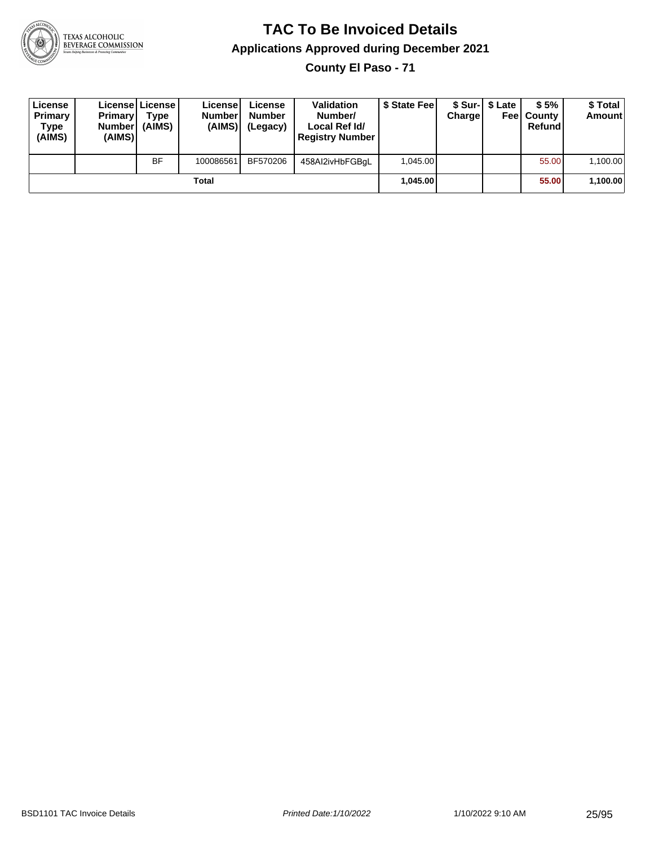

**County El Paso - 71**

| License<br>Primary<br>Type<br>(AIMS) | <b>Primary</b><br>Number<br>(AIMS) | License   License  <br>Type<br>(AIMS) | License<br><b>Number</b><br>(AIMS) | License<br><b>Number</b><br>(Legacy) | <b>Validation</b><br>Number/<br>Local Ref Id/<br><b>Registry Number</b> | \$ State Feel | Charge   | \$ Sur-1 \$ Late | \$5%<br><b>Feel County</b><br>Refund | \$ Total<br><b>Amount</b> |
|--------------------------------------|------------------------------------|---------------------------------------|------------------------------------|--------------------------------------|-------------------------------------------------------------------------|---------------|----------|------------------|--------------------------------------|---------------------------|
|                                      |                                    | <b>BF</b>                             | 100086561                          | BF570206                             | 458Al2ivHbFGBgL                                                         | 1.045.00      |          |                  | 55.00                                | 1,100.00                  |
| Total                                |                                    |                                       |                                    |                                      |                                                                         |               | 1.045.00 |                  | 55.00                                | 1,100.00                  |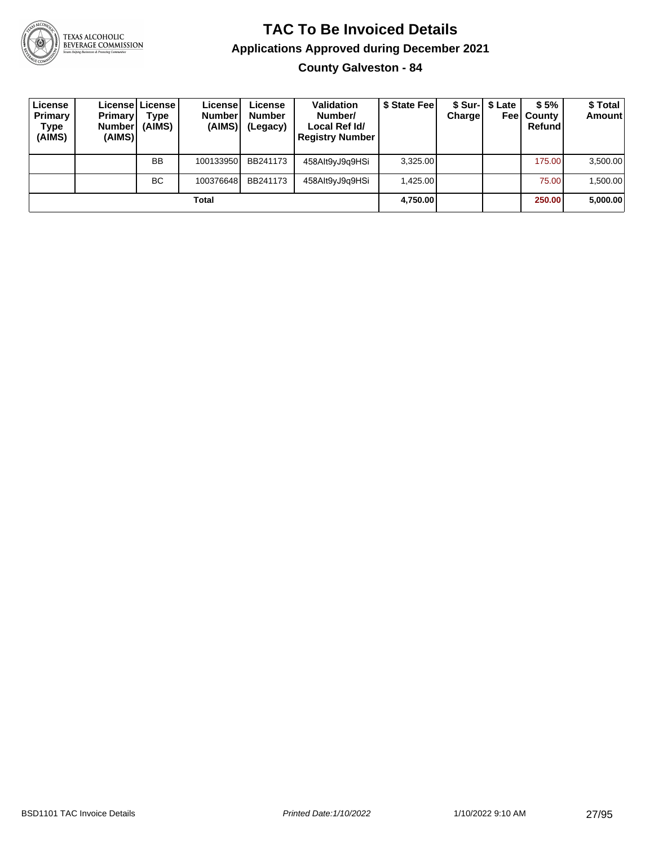

# **TAC To Be Invoiced Details Applications Approved during December 2021**

**County Galveston - 84**

| License<br>Primary<br>Type<br>(AIMS) | <b>Primary</b><br><b>Number</b><br>(AIMS) | License   License  <br>Type<br>(AIMS) | License<br><b>Number</b><br>(AIMS) | License<br><b>Number</b><br>(Legacy) | <b>Validation</b><br>Number/<br>Local Ref Id/<br><b>Registry Number</b> | \$ State Fee | Charge   | \$ Sur-   \$ Late<br>Feel | \$5%<br>, County<br>Refund | \$Total<br><b>Amount</b> |
|--------------------------------------|-------------------------------------------|---------------------------------------|------------------------------------|--------------------------------------|-------------------------------------------------------------------------|--------------|----------|---------------------------|----------------------------|--------------------------|
|                                      |                                           | BB                                    | 100133950                          | BB241173                             | 458Alt9yJ9q9HSi                                                         | 3,325.00     |          |                           | 175.00                     | 3,500.00                 |
|                                      |                                           | <b>BC</b>                             | 100376648                          | BB241173                             | 458Alt9yJ9q9HSi                                                         | 1,425.00     |          |                           | 75.00                      | 1,500.00                 |
| Total                                |                                           |                                       |                                    |                                      |                                                                         |              | 4,750.00 |                           | 250.00                     | 5,000.00                 |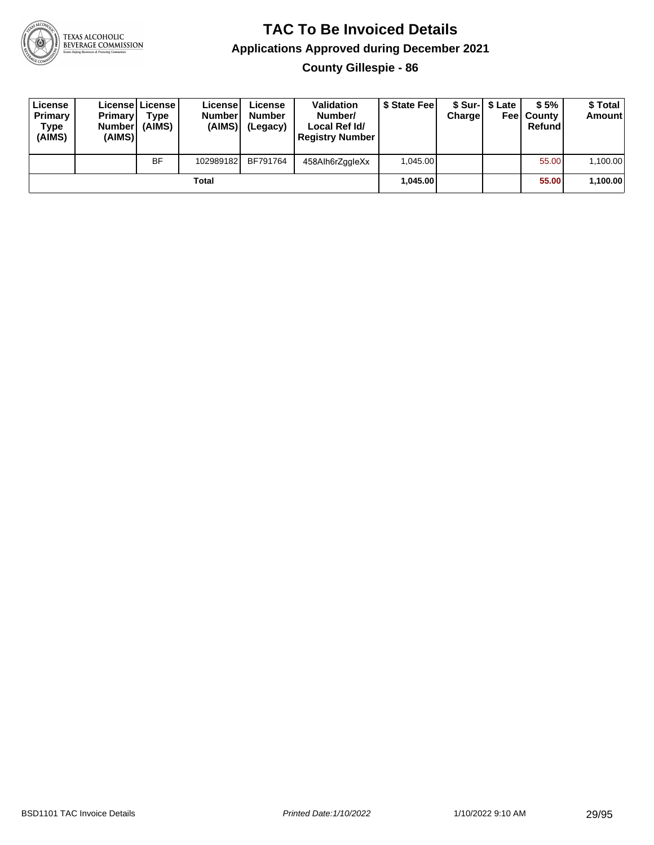

**County Gillespie - 86**

| License<br>Primary<br>Type<br>(AIMS) | <b>Primary</b><br><b>Number</b><br>(AIMS) | License   License  <br>Type<br>(AIMS) | License<br><b>Numberl</b><br>(AIMS) | License<br><b>Number</b><br>(Legacy) | <b>Validation</b><br>Number/<br>Local Ref Id/<br><b>Registry Number</b> | \$ State Feel | Charge | \$ Sur-1 \$ Late | \$5%<br><b>Feel County</b><br>Refund | \$ Total<br>Amount |
|--------------------------------------|-------------------------------------------|---------------------------------------|-------------------------------------|--------------------------------------|-------------------------------------------------------------------------|---------------|--------|------------------|--------------------------------------|--------------------|
|                                      |                                           | <b>BF</b>                             | 102989182                           | BF791764                             | 458Alh6rZggleXx                                                         | 1.045.00      |        |                  | 55.00                                | 1,100.00           |
| Total                                |                                           |                                       |                                     |                                      |                                                                         | 1.045.00      |        |                  | 55.00                                | 1,100.00           |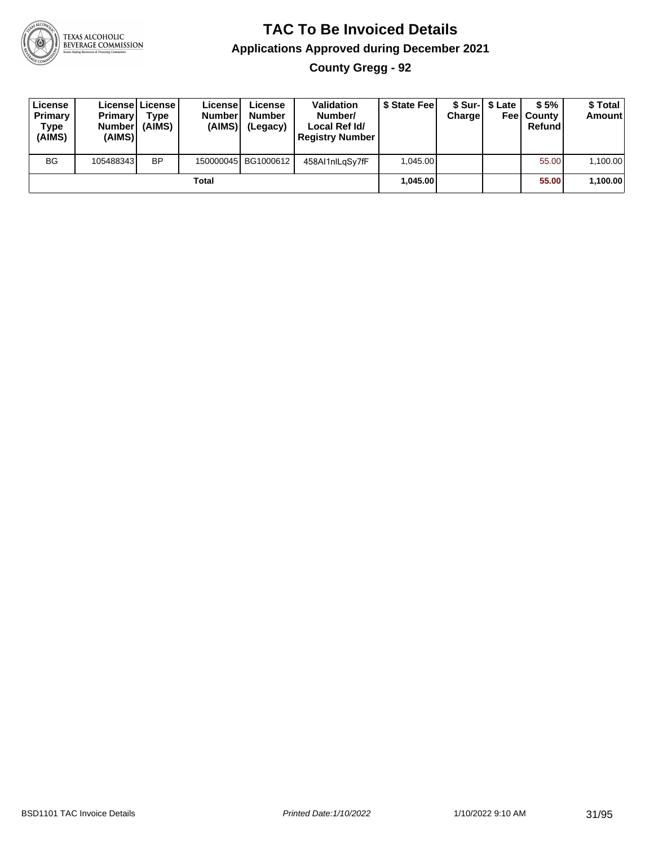

**County Gregg - 92**

| License<br>Primary<br>Type<br>(AIMS) | <b>Primary</b><br><b>Number</b><br>(AIMS) | License License<br>Tvpe<br>(AIMS) | License<br><b>Number</b><br>(AIMS) | License<br><b>Number</b><br>(Legacy) | Validation<br>Number/<br>Local Ref Id/<br><b>Registry Number</b> | \$ State Feel | Chargel  | \$ Sur-1 \$ Late | \$5%<br><b>Feel County</b><br>Refund | \$ Total<br><b>Amount</b> |
|--------------------------------------|-------------------------------------------|-----------------------------------|------------------------------------|--------------------------------------|------------------------------------------------------------------|---------------|----------|------------------|--------------------------------------|---------------------------|
| <b>BG</b>                            | 105488343                                 | <b>BP</b>                         |                                    | 150000045 BG1000612                  | 458Al1nlLqSy7fF                                                  | 1.045.00      |          |                  | 55.00                                | 1,100.00                  |
| Total                                |                                           |                                   |                                    |                                      |                                                                  |               | 1.045.00 |                  | 55.00                                | 1,100.00                  |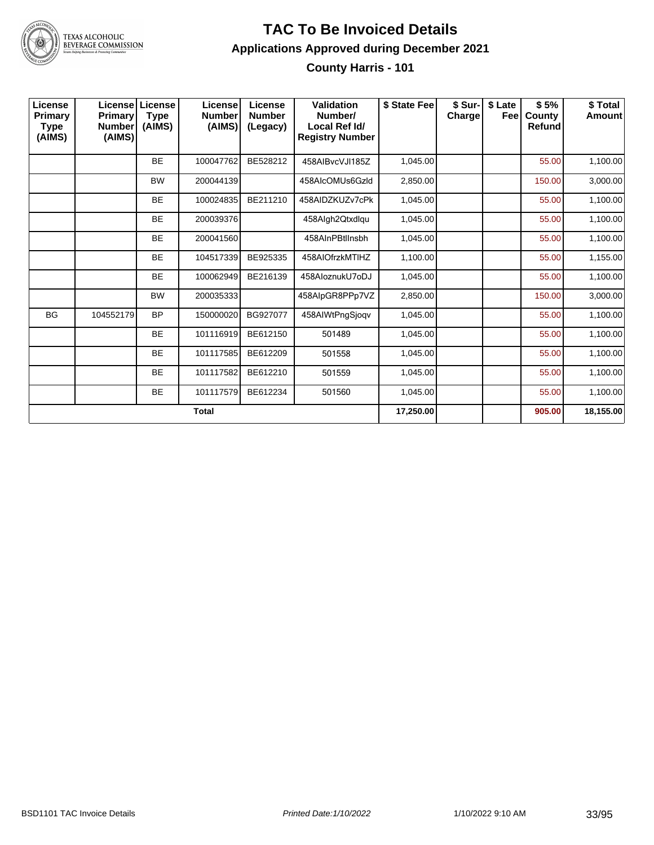

**County Harris - 101**

| License<br>Primary<br>Type<br>(AIMS) | <b>Primary</b><br><b>Number</b><br>(AIMS) | Licensel License<br><b>Type</b><br>(AIMS) | License<br><b>Number</b><br>(AIMS) | License<br><b>Number</b><br>(Legacy) | Validation<br>Number/<br>Local Ref Id/<br><b>Registry Number</b> | \$ State Fee | \$ Sur-<br>Charge | \$ Late<br>Feel | \$5%<br><b>County</b><br>Refund | \$Total<br><b>Amount</b> |
|--------------------------------------|-------------------------------------------|-------------------------------------------|------------------------------------|--------------------------------------|------------------------------------------------------------------|--------------|-------------------|-----------------|---------------------------------|--------------------------|
|                                      |                                           | <b>BE</b>                                 | 100047762                          | BE528212                             | 458AIBvcVJI185Z                                                  | 1,045.00     |                   |                 | 55.00                           | 1,100.00                 |
|                                      |                                           | <b>BW</b>                                 | 200044139                          |                                      | 458AlcOMUs6Gzld                                                  | 2,850.00     |                   |                 | 150.00                          | 3,000.00                 |
|                                      |                                           | <b>BE</b>                                 | 100024835                          | BE211210                             | 458AIDZKUZv7cPk                                                  | 1,045.00     |                   |                 | 55.00                           | 1,100.00                 |
|                                      |                                           | <b>BE</b>                                 | 200039376                          |                                      | 458Algh2Qtxdlqu                                                  | 1,045.00     |                   |                 | 55.00                           | 1,100.00                 |
|                                      |                                           | <b>BE</b>                                 | 200041560                          |                                      | 458AInPBtlInsbh                                                  | 1,045.00     |                   |                 | 55.00                           | 1,100.00                 |
|                                      |                                           | <b>BE</b>                                 | 104517339                          | BE925335                             | 458AIOfrzkMTIHZ                                                  | 1,100.00     |                   |                 | 55.00                           | 1,155.00                 |
|                                      |                                           | <b>BE</b>                                 | 100062949                          | BE216139                             | 458AloznukU7oDJ                                                  | 1,045.00     |                   |                 | 55.00                           | 1,100.00                 |
|                                      |                                           | <b>BW</b>                                 | 200035333                          |                                      | 458AlpGR8PPp7VZ                                                  | 2,850.00     |                   |                 | 150.00                          | 3,000.00                 |
| <b>BG</b>                            | 104552179                                 | <b>BP</b>                                 | 150000020                          | BG927077                             | 458AIWtPngSjoqv                                                  | 1,045.00     |                   |                 | 55.00                           | 1,100.00                 |
|                                      |                                           | <b>BE</b>                                 | 101116919                          | BE612150                             | 501489                                                           | 1,045.00     |                   |                 | 55.00                           | 1,100.00                 |
|                                      |                                           | <b>BE</b>                                 | 101117585                          | BE612209                             | 501558                                                           | 1,045.00     |                   |                 | 55.00                           | 1,100.00                 |
|                                      |                                           | <b>BE</b>                                 | 101117582                          | BE612210                             | 501559                                                           | 1,045.00     |                   |                 | 55.00                           | 1,100.00                 |
|                                      |                                           | <b>BE</b>                                 | 101117579                          | BE612234                             | 501560                                                           | 1,045.00     |                   |                 | 55.00                           | 1,100.00                 |
| <b>Total</b>                         |                                           |                                           |                                    |                                      |                                                                  |              |                   |                 | 905.00                          | 18,155.00                |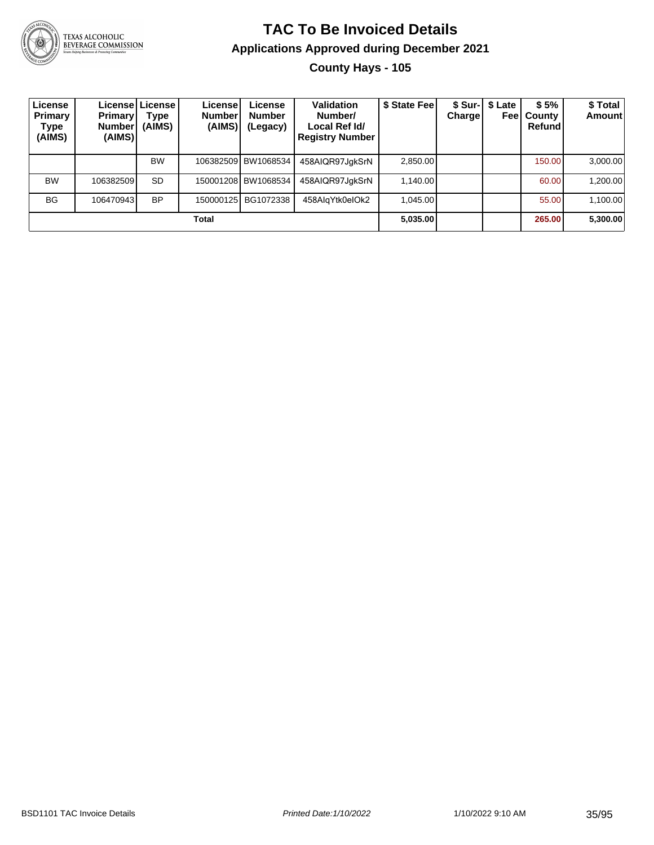

#### **TAC To Be Invoiced Details Applications Approved during December 2021 County Hays - 105**

| License<br>Primary<br><b>Type</b><br>(AIMS) | <b>Primary</b><br>Number <br>(AIMS) | License License<br>Type<br>(AIMS) | License<br><b>Number</b><br>(AIMS) | License<br><b>Number</b><br>(Legacy) | Validation<br>Number/<br>Local Ref Id/<br><b>Registry Number</b> | \$ State Feel | Chargel | \$ Sur-1 \$ Late<br>Feel | \$5%<br>County<br>Refund | \$ Total<br><b>Amount</b> |
|---------------------------------------------|-------------------------------------|-----------------------------------|------------------------------------|--------------------------------------|------------------------------------------------------------------|---------------|---------|--------------------------|--------------------------|---------------------------|
|                                             |                                     | <b>BW</b>                         |                                    | 106382509 BW1068534                  | 458AIQR97JgkSrN                                                  | 2.850.00      |         |                          | 150.00                   | 3,000.00                  |
| <b>BW</b>                                   | 106382509                           | <b>SD</b>                         |                                    | 150001208 BW1068534                  | 458AIQR97JgkSrN                                                  | 1.140.00      |         |                          | 60.00                    | 1,200.00                  |
| <b>BG</b>                                   | 106470943                           | <b>BP</b>                         |                                    | 150000125 BG1072338                  | 458AlgYtk0eIOk2                                                  | 1.045.00      |         |                          | 55.00                    | 1,100.00                  |
| Total                                       |                                     |                                   |                                    |                                      |                                                                  |               |         |                          | 265.00                   | 5,300.00                  |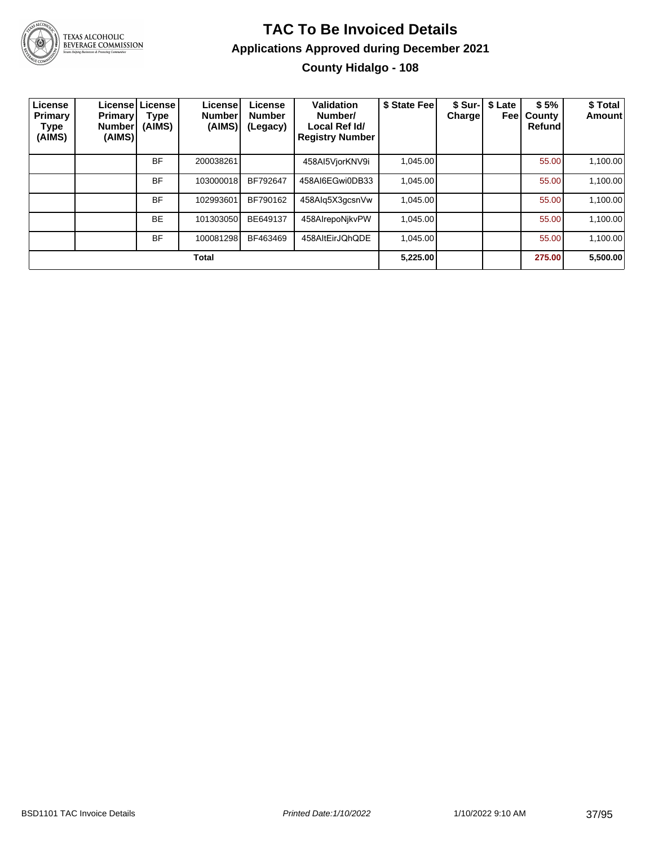

### **TAC To Be Invoiced Details Applications Approved during December 2021 County Hidalgo - 108**

| ∟icense<br>Primary<br>Type<br>(AIMS) | <b>Primary!</b><br><b>Number</b><br>(AIMS) | Licensel License<br>Type<br>(AIMS) | License <sup>®</sup><br><b>Number</b><br>(AIMS) | License<br><b>Number</b><br>(Legacy) | Validation<br>Number/<br>Local Ref Id/<br><b>Registry Number</b> | \$ State Fee | Chargel | \$ Sur-   \$ Late<br>Feel | \$5%<br>County<br><b>Refund</b> | \$ Total<br><b>Amount</b> |
|--------------------------------------|--------------------------------------------|------------------------------------|-------------------------------------------------|--------------------------------------|------------------------------------------------------------------|--------------|---------|---------------------------|---------------------------------|---------------------------|
|                                      |                                            | <b>BF</b>                          | 200038261                                       |                                      | 458AI5VjorKNV9i                                                  | 1,045.00     |         |                           | 55.00                           | 1,100.00                  |
|                                      |                                            | <b>BF</b>                          | 103000018                                       | BF792647                             | 458AI6EGwi0DB33                                                  | 1.045.00     |         |                           | 55.00                           | 1.100.00                  |
|                                      |                                            | <b>BF</b>                          | 102993601                                       | BF790162                             | 458Alg5X3gcsnVw                                                  | 1,045.00     |         |                           | 55.00                           | 1,100.00                  |
|                                      |                                            | <b>BE</b>                          | 101303050                                       | BE649137                             | 458AlrepoNikvPW                                                  | 1,045.00     |         |                           | 55.00                           | 1,100.00                  |
|                                      |                                            | <b>BF</b>                          | 100081298                                       | BF463469                             | 458AltEirJQhQDE                                                  | 1,045.00     |         |                           | 55.00                           | 1,100.00                  |
|                                      |                                            |                                    | <b>Total</b>                                    |                                      |                                                                  | 5,225.00     |         |                           | 275.00                          | 5,500.00                  |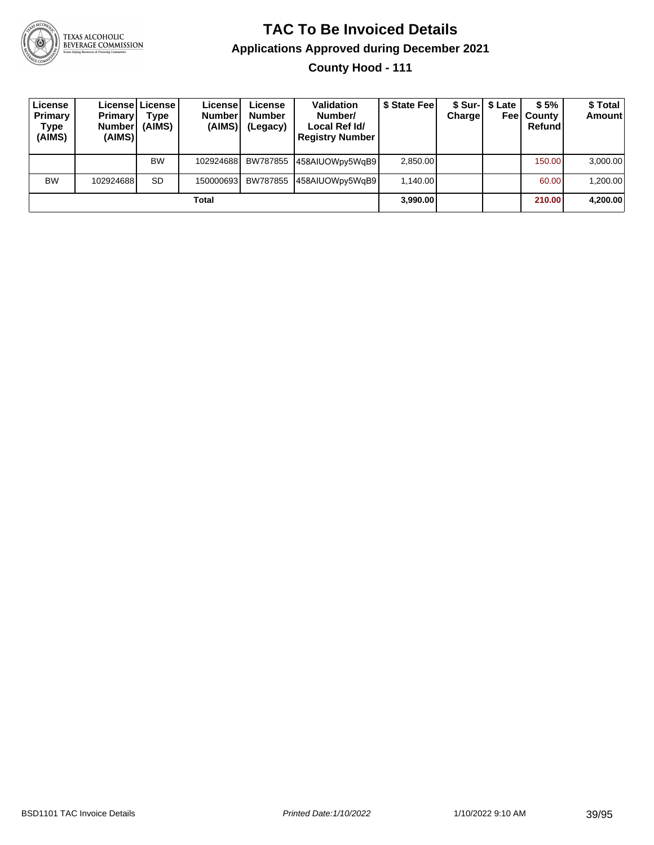

**County Hood - 111**

| License<br>Primary<br>Type<br>(AIMS) | <b>Primary</b><br><b>Number</b><br>(AIMS) | Licensel License I<br>Type<br>(AIMS) | License<br><b>Number</b><br>(AIMS) | License<br><b>Number</b><br>(Legacy) | <b>Validation</b><br>Number/<br>Local Ref Id/<br><b>Registry Number</b> | \$ State Fee | Charge | \$ Sur-  \$ Late | \$5%<br><b>Feel County</b><br>Refund | \$ Total<br><b>Amount</b> |
|--------------------------------------|-------------------------------------------|--------------------------------------|------------------------------------|--------------------------------------|-------------------------------------------------------------------------|--------------|--------|------------------|--------------------------------------|---------------------------|
|                                      |                                           | <b>BW</b>                            | 102924688                          | BW787855                             | 458AIUOWpy5WgB9                                                         | 2.850.00     |        |                  | 150.00                               | 3,000.00                  |
| <b>BW</b>                            | 102924688                                 | <b>SD</b>                            | 150000693                          | BW787855                             | 458AIUOWpy5WgB9                                                         | 1.140.00     |        |                  | 60.00                                | 1,200.00                  |
|                                      |                                           |                                      | Total                              |                                      |                                                                         | 3,990.00     |        |                  | 210.00                               | 4,200.00                  |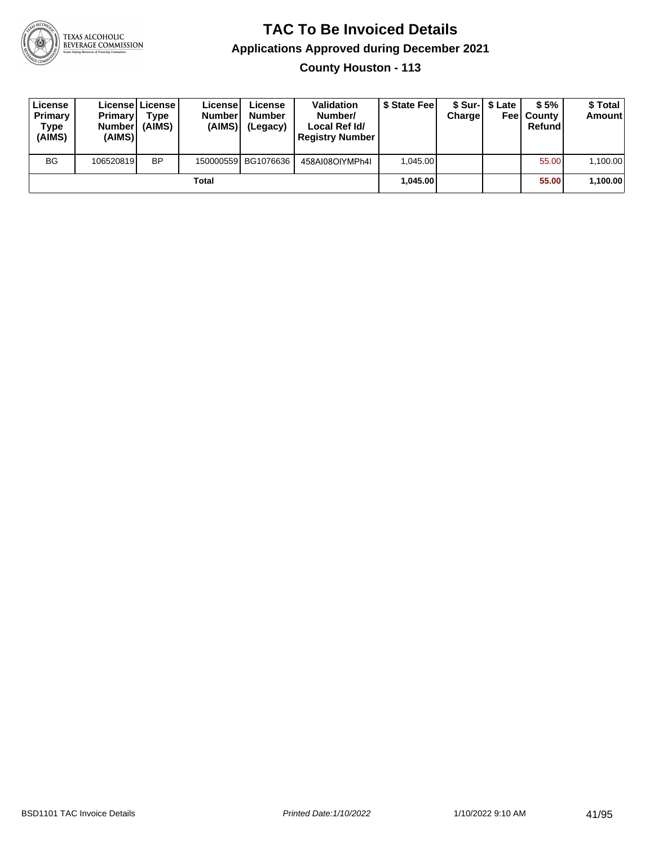

**County Houston - 113**

| License<br>Primary<br>Type<br>(AIMS) | <b>Primary</b><br><b>Number</b><br>(AIMS) | License   License  <br>Type<br>(AIMS) | License<br><b>Number</b><br>(AIMS) | License<br><b>Number</b><br>(Legacy) | <b>Validation</b><br>Number/<br>Local Ref Id/<br><b>Registry Number</b> | \$ State Feel | Charge | \$ Sur-1 \$ Late | \$5%<br><b>Feel County</b><br>Refund | \$ Total<br><b>Amount</b> |
|--------------------------------------|-------------------------------------------|---------------------------------------|------------------------------------|--------------------------------------|-------------------------------------------------------------------------|---------------|--------|------------------|--------------------------------------|---------------------------|
| <b>BG</b>                            | 106520819                                 | <b>BP</b>                             |                                    | 150000559 BG1076636                  | 458AI08OIYMPh4I                                                         | 1.045.00      |        |                  | 55.00                                | 1,100.00                  |
|                                      |                                           |                                       | Total                              |                                      |                                                                         | 1.045.00      |        |                  | 55.00                                | 1,100.00                  |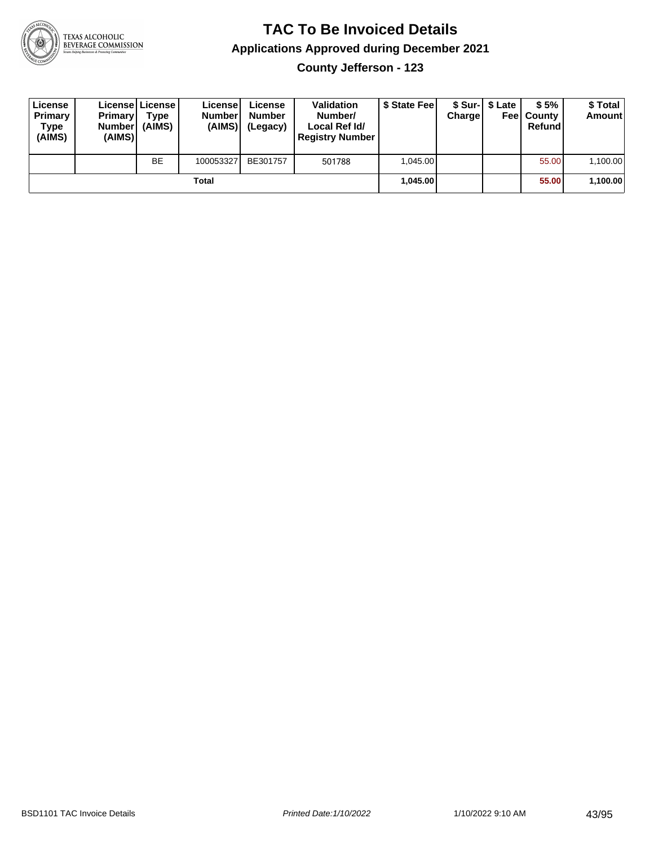

**County Jefferson - 123**

| License<br><b>Primary</b><br>Type<br>(AIMS) | <b>Primary</b><br><b>Number</b><br>(AIMS) | <b>License   License</b><br>Type<br>(AIMS) | License<br><b>Number</b><br>(AIMS) | License<br><b>Number</b><br>(Legacy) | <b>Validation</b><br>Number/<br>Local Ref Id/<br><b>Registry Number</b> | \$ State Feel | Charge | \$ Sur-1 \$ Late | \$5%<br><b>Feel County</b><br>Refund | \$ Total<br><b>Amount</b> |
|---------------------------------------------|-------------------------------------------|--------------------------------------------|------------------------------------|--------------------------------------|-------------------------------------------------------------------------|---------------|--------|------------------|--------------------------------------|---------------------------|
|                                             |                                           | <b>BE</b>                                  | 100053327                          | BE301757                             | 501788                                                                  | 1.045.00      |        |                  | 55.00                                | 1,100.00                  |
|                                             |                                           |                                            | Total                              |                                      |                                                                         | 1.045.00      |        |                  | 55.00                                | 1,100.00                  |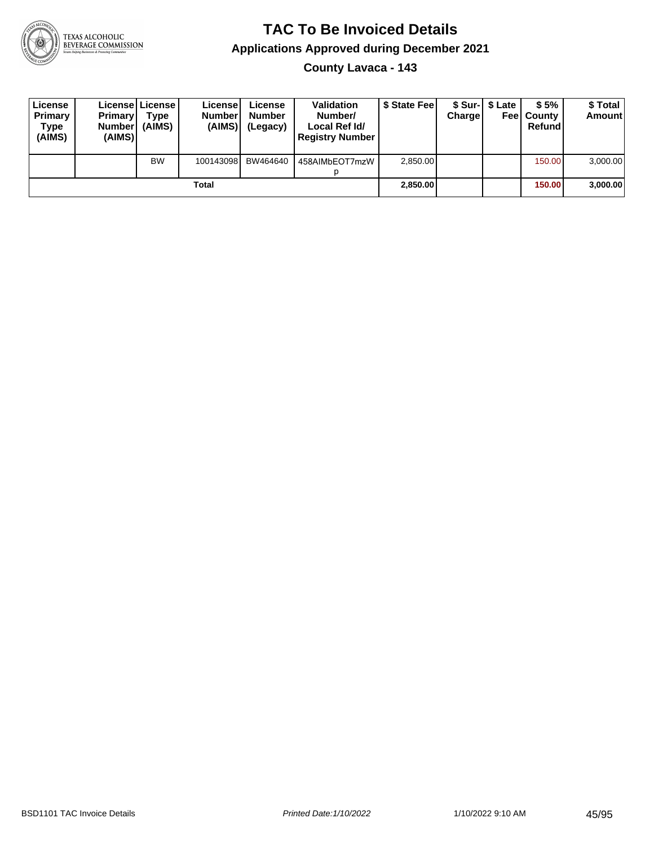

**County Lavaca - 143**

| License<br>Primary<br>Type<br>(AIMS) | <b>Primary</b><br><b>Number</b><br>(AIMS) | License   License  <br>Type<br>(AIMS) | Licensel<br><b>Numberl</b><br>(AIMS) | License<br><b>Number</b><br>(Legacy) | <b>Validation</b><br>Number/<br>Local Ref Id/<br><b>Registry Number</b> | \$ State Feel | Charge | \$ Sur-1 \$ Late | \$5%<br><b>Feel County</b><br>Refund | \$ Total<br><b>Amount</b> |
|--------------------------------------|-------------------------------------------|---------------------------------------|--------------------------------------|--------------------------------------|-------------------------------------------------------------------------|---------------|--------|------------------|--------------------------------------|---------------------------|
|                                      |                                           | <b>BW</b>                             | 100143098                            | BW464640                             | 458AIMbEOT7mzW                                                          | 2,850.00      |        |                  | 150.00                               | 3,000.00                  |
|                                      |                                           |                                       | Total                                |                                      |                                                                         | 2,850.00      |        |                  | 150.00                               | 3,000.00                  |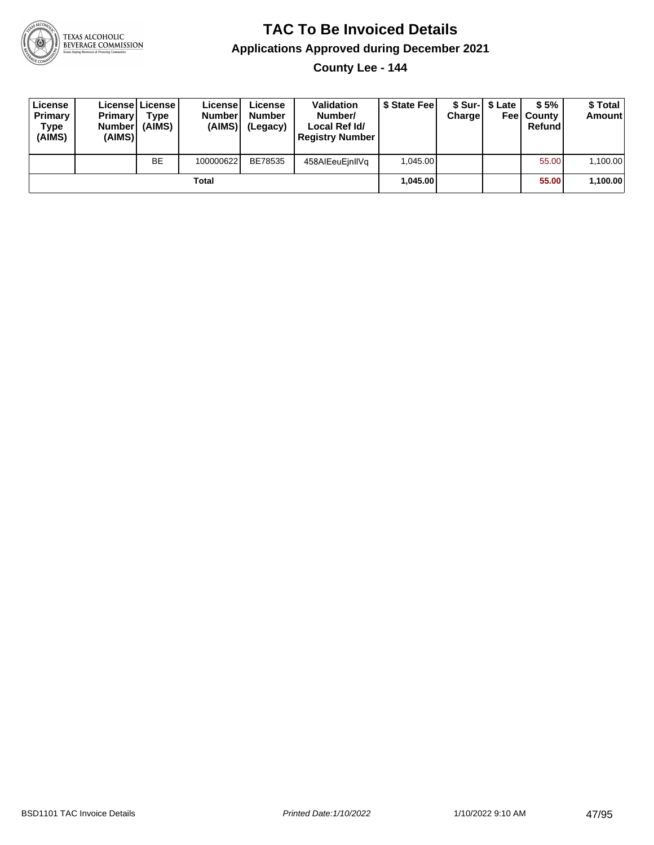

**County Lee - 144**

| License<br>Primary<br>Type<br>(AIMS) | <b>Primary</b><br>Number<br>(AIMS) | License   License  <br>Type<br>(AIMS) | Licensel<br><b>Number</b><br>(AIMS) | License<br><b>Number</b><br>(Legacy) | <b>Validation</b><br>Number/<br>Local Ref Id/<br><b>Registry Number</b> | \$ State Feel | Charge | \$ Sur-1 \$ Late | \$5%<br><b>Feel County</b><br>Refund | \$ Total<br><b>Amount</b> |
|--------------------------------------|------------------------------------|---------------------------------------|-------------------------------------|--------------------------------------|-------------------------------------------------------------------------|---------------|--------|------------------|--------------------------------------|---------------------------|
|                                      |                                    | <b>BE</b>                             | 100000622                           | BE78535                              | 458AIEeuEinIIVg                                                         | 1.045.00      |        |                  | 55.00                                | 1,100.00                  |
|                                      |                                    |                                       | Total                               |                                      |                                                                         | 1.045.00      |        |                  | 55.00                                | 1,100.00                  |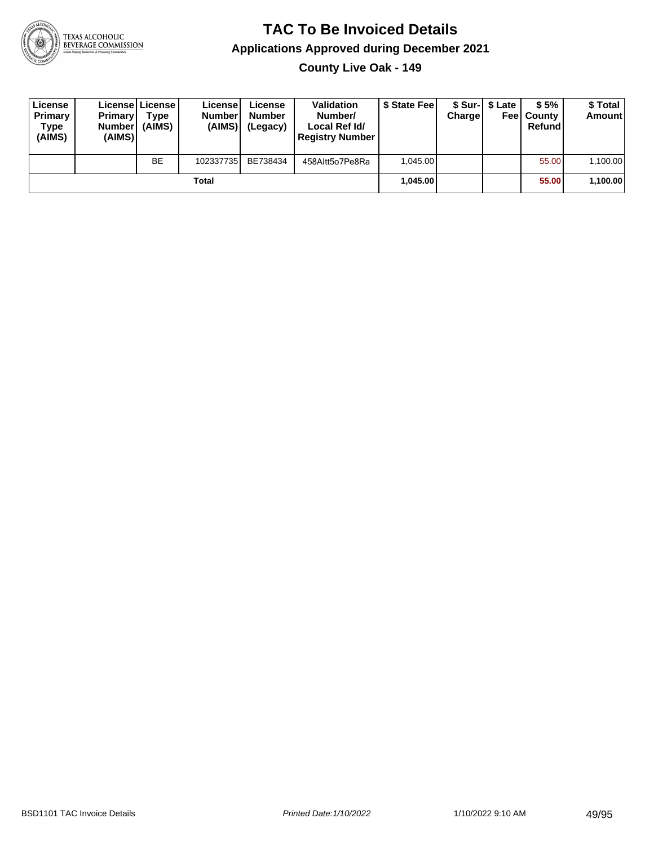

**County Live Oak - 149**

| License<br>Primary<br>Type<br>(AIMS) | Primary<br><b>Number</b><br>(AIMS) | License License<br>Type<br>(AIMS) | License<br><b>Number</b><br>(AIMS) | License<br><b>Number</b><br>(Legacy) | <b>Validation</b><br>Number/<br>Local Ref Id/<br><b>Registry Number</b> | \$ State Feel | Charge | \$ Sur-1 \$ Late | \$5%<br><b>Feel County</b><br>Refund | \$ Total<br><b>Amount</b> |
|--------------------------------------|------------------------------------|-----------------------------------|------------------------------------|--------------------------------------|-------------------------------------------------------------------------|---------------|--------|------------------|--------------------------------------|---------------------------|
|                                      |                                    | <b>BE</b>                         | 102337735                          | BE738434                             | 458Altt5o7Pe8Ra                                                         | 1.045.00      |        |                  | 55.00                                | 1,100.00                  |
|                                      |                                    |                                   | Total                              |                                      |                                                                         | 1.045.00      |        |                  | 55.00                                | 1,100.00                  |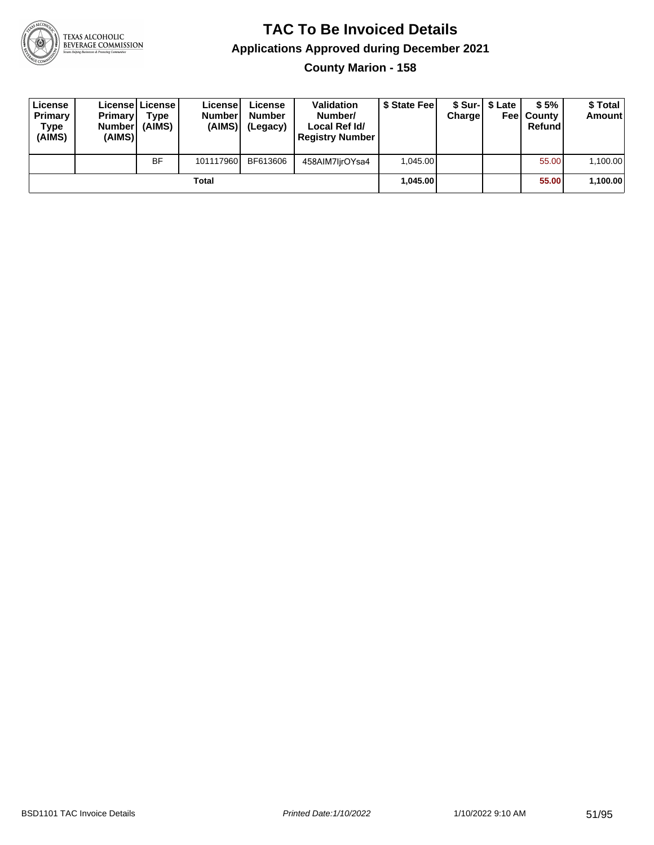

**County Marion - 158**

| License<br>Primary<br>Type<br>(AIMS) | <b>Primary</b><br>Number<br>(AIMS) | License   License  <br>Type<br>(AIMS) | License<br><b>Number</b><br>(AIMS) | License<br><b>Number</b><br>(Legacy) | <b>Validation</b><br>Number/<br>Local Ref Id/<br><b>Registry Number</b> | \$ State Feel | Charge | \$ Sur-1 \$ Late | \$5%<br><b>Feel County</b><br>Refund | \$ Total<br><b>Amount</b> |
|--------------------------------------|------------------------------------|---------------------------------------|------------------------------------|--------------------------------------|-------------------------------------------------------------------------|---------------|--------|------------------|--------------------------------------|---------------------------|
|                                      |                                    | <b>BF</b>                             | 101117960                          | BF613606                             | 458AIM7lirOYsa4                                                         | 1,045.00      |        |                  | 55.00                                | 1,100.00                  |
|                                      |                                    |                                       | Total                              |                                      |                                                                         | 1.045.00      |        |                  | 55.00                                | 1,100.00                  |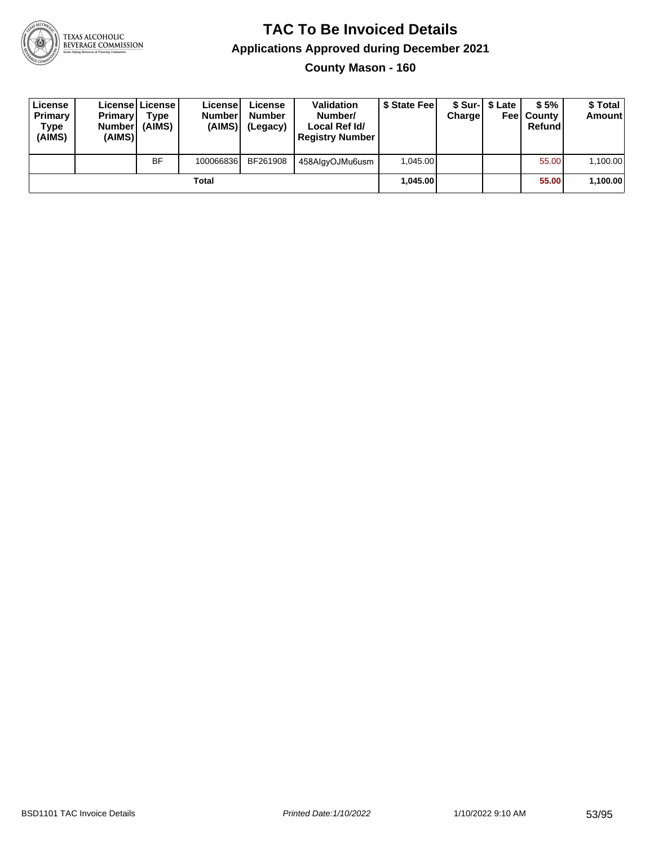

**County Mason - 160**

| License<br>Primary<br>Type<br>(AIMS) | <b>Primary</b><br><b>Number</b><br>(AIMS) | License   License  <br>Type<br>(AIMS) | License<br><b>Number</b><br>(AIMS) | License<br><b>Number</b><br>(Legacy) | <b>Validation</b><br>Number/<br>Local Ref Id/<br><b>Registry Number</b> | \$ State Feel | Charge | \$ Sur-1 \$ Late | \$5%<br><b>Feel County</b><br>Refund | \$ Total<br><b>Amount</b> |
|--------------------------------------|-------------------------------------------|---------------------------------------|------------------------------------|--------------------------------------|-------------------------------------------------------------------------|---------------|--------|------------------|--------------------------------------|---------------------------|
|                                      |                                           | <b>BF</b>                             | 100066836                          | BF261908                             | 458AlgyOJMu6usm                                                         | 1.045.00      |        |                  | 55.00                                | 1,100.00                  |
|                                      |                                           |                                       | Total                              |                                      |                                                                         | 1.045.00      |        |                  | 55.00                                | 1,100.00                  |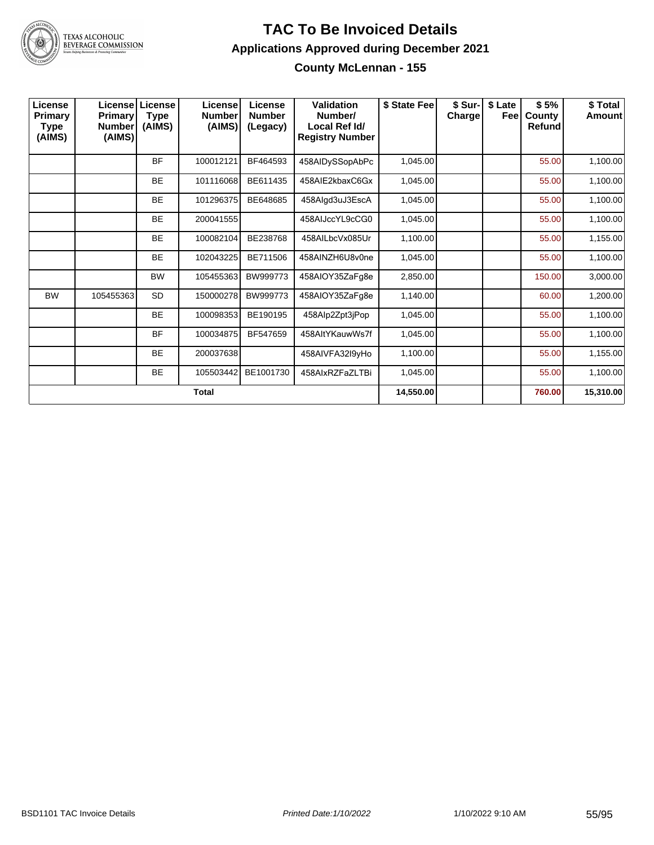

#### **TAC To Be Invoiced Details Applications Approved during December 2021 County McLennan - 155**

| License<br>Primary<br>Type<br>(AIMS) | <b>License</b><br><b>Primary</b><br><b>Number</b><br>(AIMS) | License<br><b>Type</b><br>(AIMS) | License<br><b>Number</b><br>(AIMS) | License<br><b>Number</b><br>(Legacy) | <b>Validation</b><br>Number/<br>Local Ref Id/<br><b>Registry Number</b> | \$ State Fee | \$ Sur-<br>Charge | \$ Late<br>Feel | \$5%<br>County<br>Refund | \$Total<br><b>Amount</b> |
|--------------------------------------|-------------------------------------------------------------|----------------------------------|------------------------------------|--------------------------------------|-------------------------------------------------------------------------|--------------|-------------------|-----------------|--------------------------|--------------------------|
|                                      |                                                             | <b>BF</b>                        | 100012121                          | BF464593                             | 458AIDySSopAbPc                                                         | 1,045.00     |                   |                 | 55.00                    | 1,100.00                 |
|                                      |                                                             | <b>BE</b>                        | 101116068                          | BE611435                             | 458AIE2kbaxC6Gx                                                         | 1,045.00     |                   |                 | 55.00                    | 1,100.00                 |
|                                      |                                                             | <b>BE</b>                        | 101296375                          | BE648685                             | 458Algd3uJ3EscA                                                         | 1,045.00     |                   |                 | 55.00                    | 1,100.00                 |
|                                      |                                                             | <b>BE</b>                        | 200041555                          |                                      | 458AIJccYL9cCG0                                                         | 1,045.00     |                   |                 | 55.00                    | 1,100.00                 |
|                                      |                                                             | <b>BE</b>                        | 100082104                          | BE238768                             | 458AILbcVx085Ur                                                         | 1,100.00     |                   |                 | 55.00                    | 1,155.00                 |
|                                      |                                                             | <b>BE</b>                        | 102043225                          | BE711506                             | 458AINZH6U8v0ne                                                         | 1,045.00     |                   |                 | 55.00                    | 1,100.00                 |
|                                      |                                                             | <b>BW</b>                        | 105455363                          | BW999773                             | 458AIOY35ZaFg8e                                                         | 2,850.00     |                   |                 | 150.00                   | 3,000.00                 |
| <b>BW</b>                            | 105455363                                                   | <b>SD</b>                        | 150000278                          | BW999773                             | 458AIOY35ZaFg8e                                                         | 1,140.00     |                   |                 | 60.00                    | 1,200.00                 |
|                                      |                                                             | <b>BE</b>                        | 100098353                          | BE190195                             | 458Alp2Zpt3jPop                                                         | 1,045.00     |                   |                 | 55.00                    | 1,100.00                 |
|                                      |                                                             | <b>BF</b>                        | 100034875                          | BF547659                             | 458AltYKauwWs7f                                                         | 1,045.00     |                   |                 | 55.00                    | 1,100.00                 |
|                                      |                                                             | <b>BE</b>                        | 200037638                          |                                      | 458AIVFA32I9yHo                                                         | 1,100.00     |                   |                 | 55.00                    | 1,155.00                 |
|                                      |                                                             | <b>BE</b>                        | 105503442                          | BE1001730                            | 458AlxRZFaZLTBi                                                         | 1,045.00     |                   |                 | 55.00                    | 1,100.00                 |
|                                      |                                                             |                                  | <b>Total</b>                       |                                      |                                                                         | 14,550.00    |                   |                 | 760.00                   | 15,310.00                |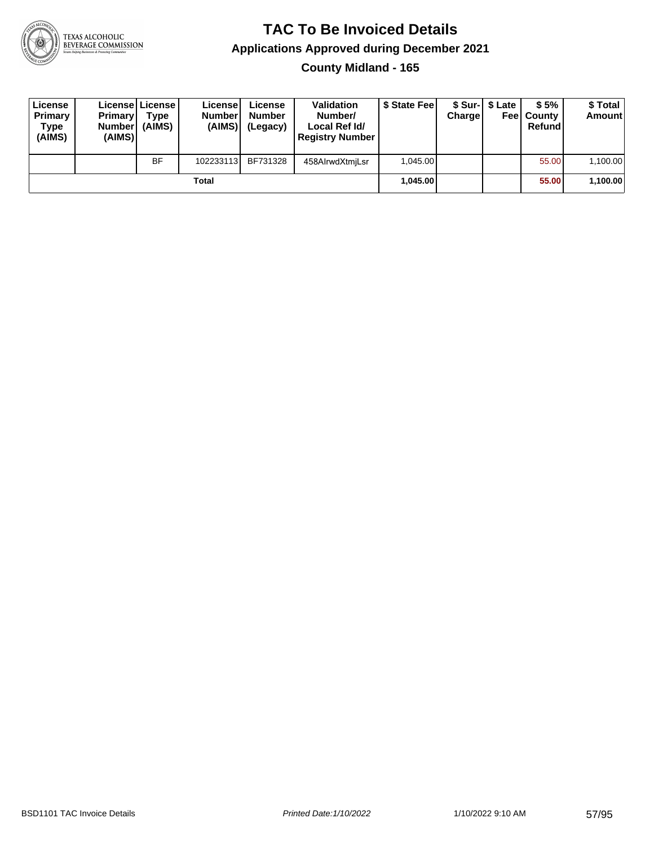

**County Midland - 165**

| License<br><b>Primary</b><br>Type<br>(AIMS) | <b>Primary</b><br><b>Number</b><br>(AIMS)I | <b>License   License</b><br>Type<br>(AIMS) | License<br><b>Number</b><br>(AIMS) | License<br><b>Number</b><br>(Legacy) | <b>Validation</b><br>Number/<br>Local Ref Id/<br><b>Registry Number</b> | \$ State Feel | Charge | \$ Sur-1 \$ Late | \$5%<br><b>Feel County</b><br>Refund | \$ Total<br><b>Amount</b> |
|---------------------------------------------|--------------------------------------------|--------------------------------------------|------------------------------------|--------------------------------------|-------------------------------------------------------------------------|---------------|--------|------------------|--------------------------------------|---------------------------|
|                                             |                                            | <b>BF</b>                                  | 102233113                          | BF731328                             | 458AlrwdXtmjLsr                                                         | 1.045.00      |        |                  | 55.00                                | 1,100.00                  |
|                                             |                                            |                                            | Total                              |                                      |                                                                         | 1.045.00      |        |                  | 55.00                                | 1,100.00                  |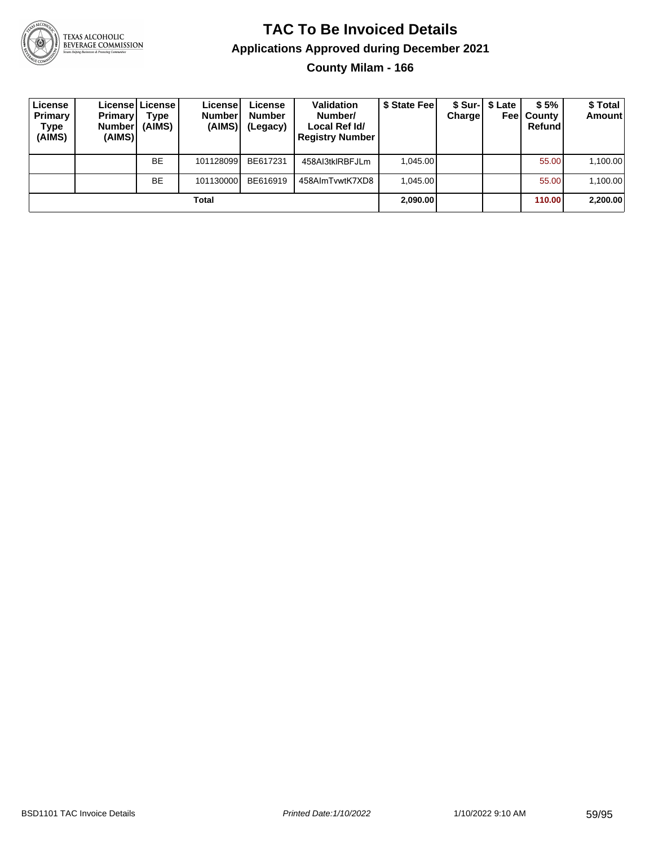

# **TAC To Be Invoiced Details Applications Approved during December 2021**

**County Milam - 166**

| License<br>Primary<br>Type<br>(AIMS) | <b>Primary</b><br><b>Number</b><br>(AIMS) | Licensel License I<br>Type<br>(AIMS) | Licensel<br><b>Number</b><br>(AIMS) | License<br><b>Number</b><br>(Legacy) | <b>Validation</b><br>Number/<br>Local Ref Id/<br><b>Registry Number</b> | \$ State Feel | Charge | \$ Sur-   \$ Late<br>Feel | \$5%<br>County<br>Refund | \$Total<br><b>Amount</b> |
|--------------------------------------|-------------------------------------------|--------------------------------------|-------------------------------------|--------------------------------------|-------------------------------------------------------------------------|---------------|--------|---------------------------|--------------------------|--------------------------|
|                                      |                                           | <b>BE</b>                            | 101128099                           | BE617231                             | 458AI3tkIRBFJLm                                                         | 1.045.00      |        |                           | 55.00                    | 1,100.00                 |
|                                      |                                           | <b>BE</b>                            | 101130000                           | BE616919                             | 458AlmTvwtK7XD8                                                         | 1.045.00      |        |                           | 55.00                    | 1,100.00                 |
|                                      |                                           |                                      | Total                               |                                      |                                                                         | 2,090.00      |        |                           | 110.00                   | 2,200.00                 |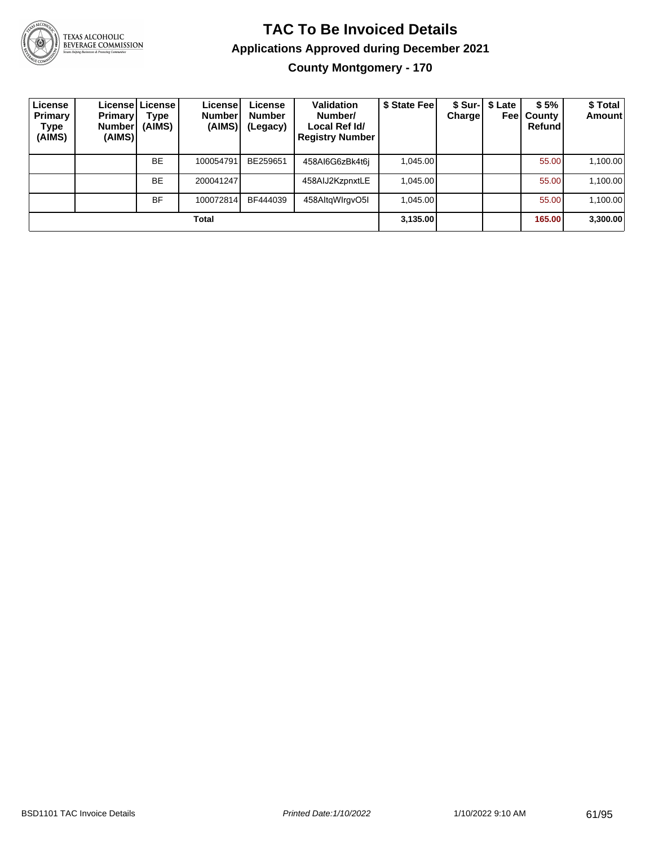

# **TAC To Be Invoiced Details Applications Approved during December 2021**

**County Montgomery - 170**

| License<br>Primary<br>Type<br>(AIMS) | <b>Primary</b><br><b>Number</b><br>(AIMS) | License   License  <br>Type<br>(AIMS) | License!<br><b>Number</b><br>(AIMS) | License<br><b>Number</b><br>(Legacy) | Validation<br>Number/<br>Local Ref Id/<br><b>Registry Number</b> | \$ State Fee | <b>Charge</b> | \$ Sur-   \$ Late<br>Feel | \$5%<br>County<br>Refund | \$Total<br><b>Amount</b> |
|--------------------------------------|-------------------------------------------|---------------------------------------|-------------------------------------|--------------------------------------|------------------------------------------------------------------|--------------|---------------|---------------------------|--------------------------|--------------------------|
|                                      |                                           | <b>BE</b>                             | 100054791                           | BE259651                             | 458AI6G6zBk4t6j                                                  | 1,045.00     |               |                           | 55.00                    | 1,100.00                 |
|                                      |                                           | <b>BE</b>                             | 200041247                           |                                      | 458AIJ2KzpnxtLE                                                  | 1,045.00     |               |                           | 55.00                    | 1,100.00                 |
|                                      |                                           | <b>BF</b>                             | 100072814                           | BF444039                             | 458AltgWlrgvO5I                                                  | 1,045.00     |               |                           | 55.00                    | 1,100.00                 |
| Total                                |                                           |                                       |                                     |                                      |                                                                  |              |               |                           | 165.00                   | 3,300.00                 |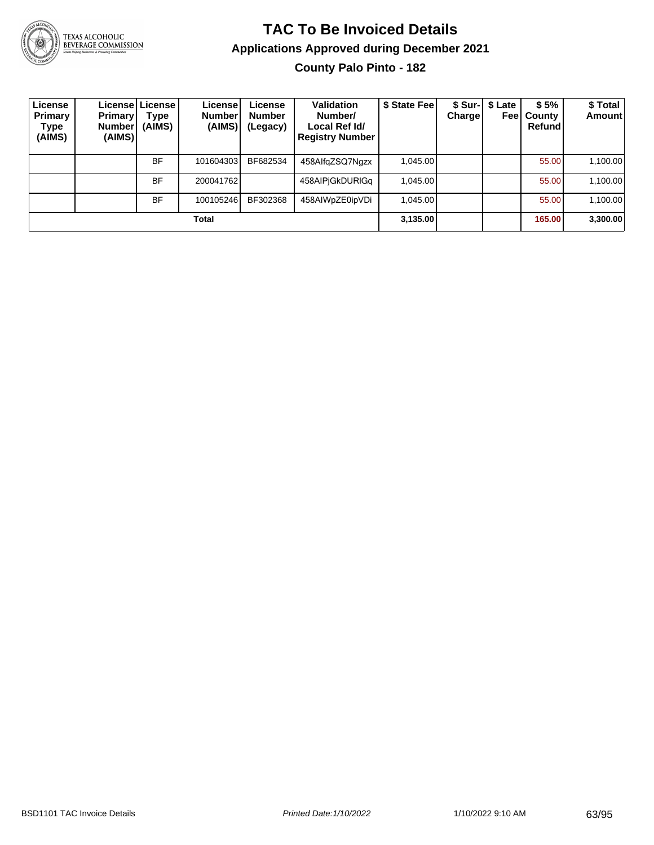

# **TAC To Be Invoiced Details Applications Approved during December 2021**

**County Palo Pinto - 182**

| License<br><b>Primary</b><br>Type<br>(AIMS) | <b>Primary</b><br><b>Number</b><br>(AIMS) | Licensel License I<br>Type<br>(AIMS) | License!<br>Number<br>(AIMS) | License<br><b>Number</b><br>(Legacy) | Validation<br>Number/<br>Local Ref Id/<br><b>Registry Number</b> | \$ State Fee | <b>Charge</b> | \$ Sur-   \$ Late<br>Feel | \$5%<br>County<br>Refund | \$Total<br>Amount |
|---------------------------------------------|-------------------------------------------|--------------------------------------|------------------------------|--------------------------------------|------------------------------------------------------------------|--------------|---------------|---------------------------|--------------------------|-------------------|
|                                             |                                           | <b>BF</b>                            | 101604303                    | BF682534                             | 458AlfgZSQ7Ngzx                                                  | 1,045.00     |               |                           | 55.00                    | 1,100.00          |
|                                             |                                           | <b>BF</b>                            | 200041762                    |                                      | 458AIPjGkDURIGq                                                  | 1,045.00     |               |                           | 55.00                    | 1,100.00          |
|                                             |                                           | <b>BF</b>                            | 100105246                    | BF302368                             | 458AIWpZE0ipVDi                                                  | 1.045.00     |               |                           | 55.00                    | 1,100.00          |
| Total                                       |                                           |                                      |                              |                                      |                                                                  |              |               |                           | 165.00                   | 3,300.00          |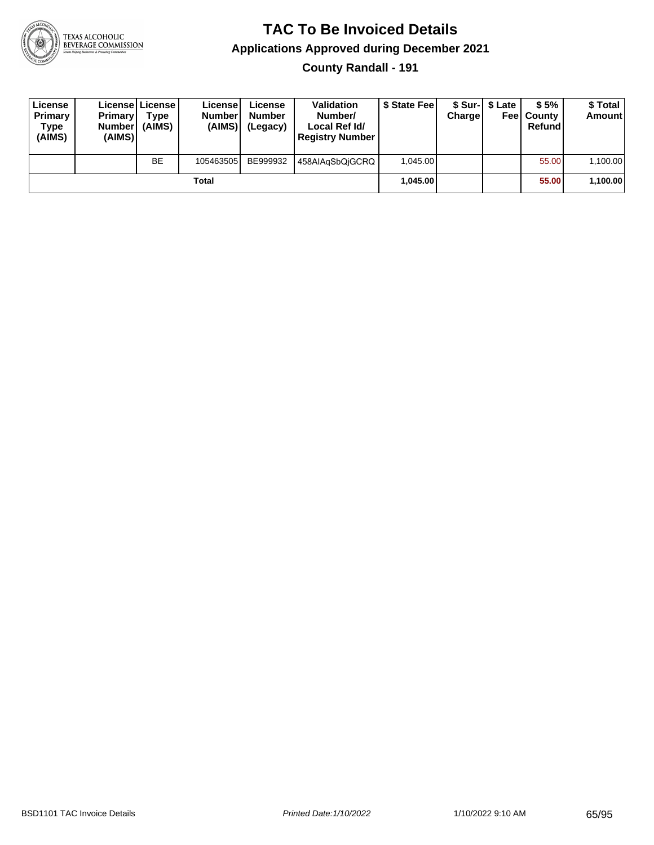

**County Randall - 191**

| License<br><b>Primary</b><br>Type<br>(AIMS) | <b>Primary</b><br><b>Number</b><br>(AIMS)I | <b>License   License</b><br>Type<br>(AIMS) | License<br><b>Number</b><br>(AIMS) | License<br><b>Number</b><br>(Legacy) | <b>Validation</b><br>Number/<br>Local Ref Id/<br><b>Registry Number</b> | \$ State Feel | Charge   | \$ Sur-1 \$ Late | \$5%<br><b>Feel County</b><br>Refund | \$ Total<br><b>Amount</b> |
|---------------------------------------------|--------------------------------------------|--------------------------------------------|------------------------------------|--------------------------------------|-------------------------------------------------------------------------|---------------|----------|------------------|--------------------------------------|---------------------------|
|                                             |                                            | <b>BE</b>                                  | 105463505                          | BE999932                             | 458AIAqSbQiGCRQ                                                         | 1.045.00      |          |                  | 55.00                                | 1,100.00                  |
| Total                                       |                                            |                                            |                                    |                                      |                                                                         |               | 1.045.00 |                  | 55.00                                | 1,100.00                  |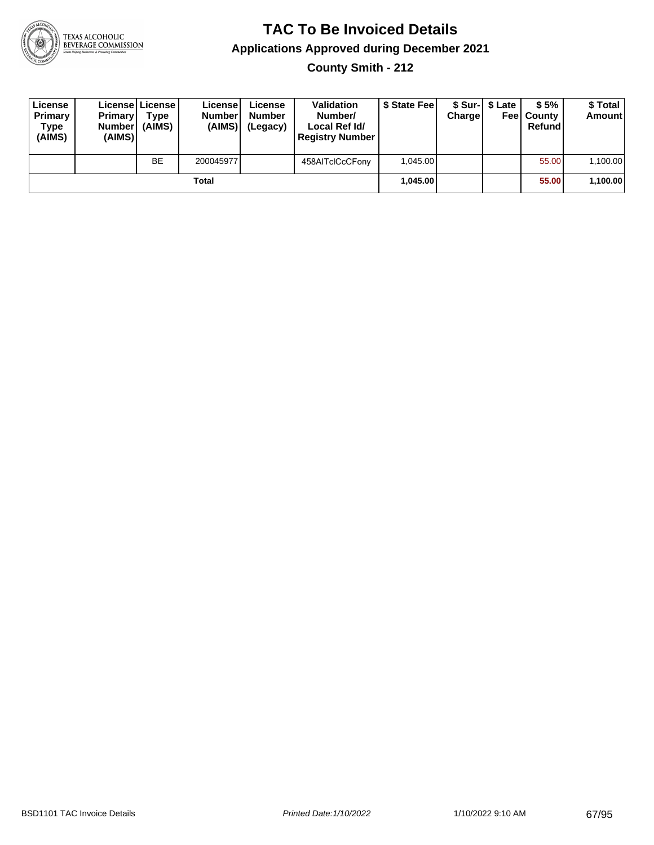

**County Smith - 212**

| License<br>Primary<br>Type<br>(AIMS) | <b>Primary</b><br>Number<br>(AIMS) | License   License  <br>Type<br>(AIMS) | License<br><b>Number</b><br>(AIMS) | License<br><b>Number</b><br>(Legacy) | Validation<br>Number/<br>Local Ref Id/<br><b>Registry Number</b> | \$ State Feel | Charge   | \$ Sur-1 \$ Late | \$5%<br><b>Feel County</b><br>Refund | \$ Total<br><b>Amount</b> |
|--------------------------------------|------------------------------------|---------------------------------------|------------------------------------|--------------------------------------|------------------------------------------------------------------|---------------|----------|------------------|--------------------------------------|---------------------------|
|                                      |                                    | <b>BE</b>                             | 200045977                          |                                      | 458AITclCcCFony                                                  | 1.045.00      |          |                  | 55.00                                | 1,100.00                  |
| Total                                |                                    |                                       |                                    |                                      |                                                                  |               | 1.045.00 |                  | 55.00                                | 1,100.00                  |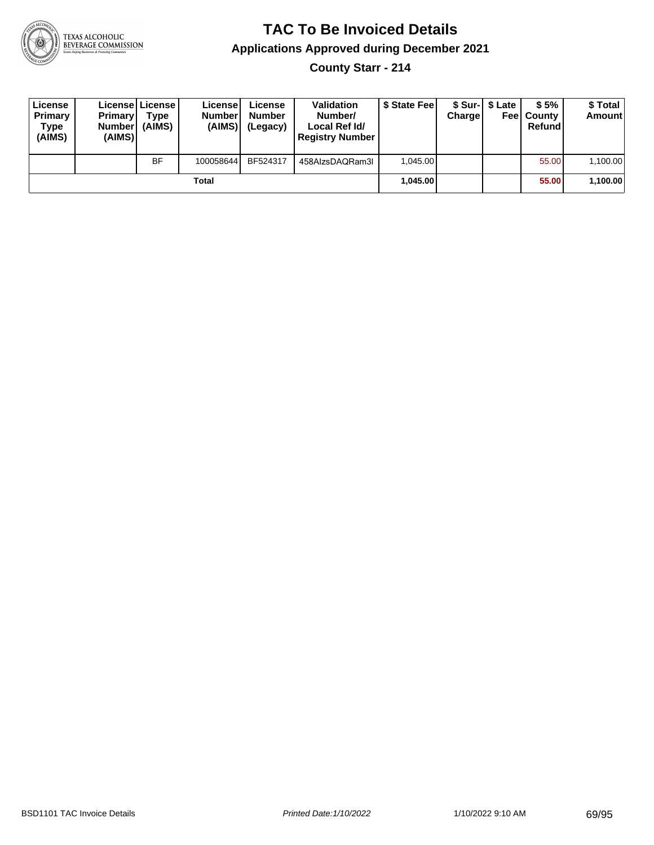

**County Starr - 214**

| License<br>Primary<br>Type<br>(AIMS) | <b>Primary</b><br>Number<br>(AIMS) | License   License  <br>Type<br>(AIMS) | License<br><b>Number</b><br>(AIMS) | License<br><b>Number</b><br>(Legacy) | <b>Validation</b><br>Number/<br>Local Ref Id/<br><b>Registry Number</b> | \$ State Feel | Charge | \$ Sur-1 \$ Late | \$5%<br><b>Feel County</b><br>Refund | \$ Total<br><b>Amount</b> |
|--------------------------------------|------------------------------------|---------------------------------------|------------------------------------|--------------------------------------|-------------------------------------------------------------------------|---------------|--------|------------------|--------------------------------------|---------------------------|
|                                      |                                    | <b>BF</b>                             | 100058644                          | BF524317                             | 458AlzsDAQRam3I                                                         | 1.045.00      |        |                  | 55.00                                | 1,100.00                  |
| Total                                |                                    |                                       |                                    |                                      |                                                                         | 1.045.00      |        |                  | 55.00                                | 1,100.00                  |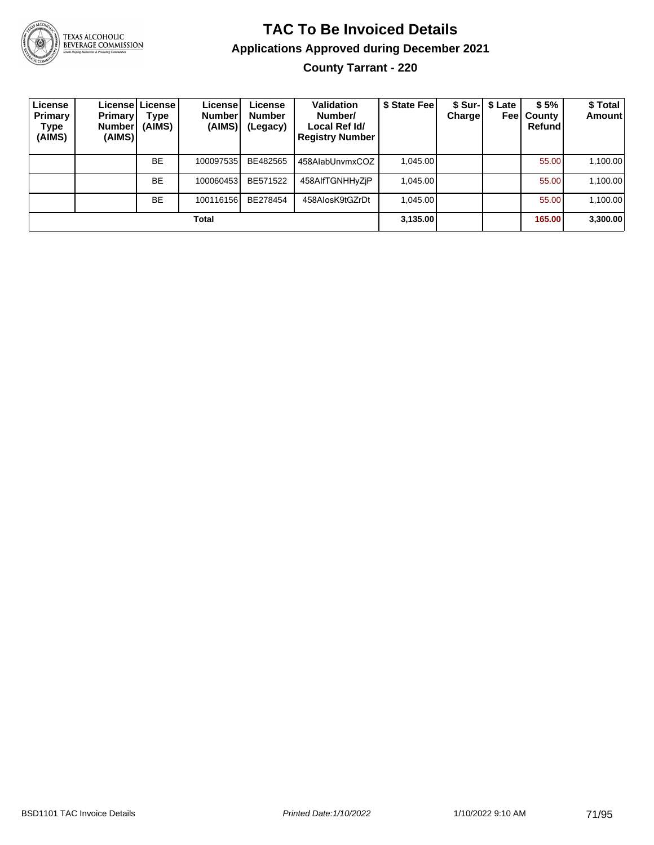

### **TAC To Be Invoiced Details Applications Approved during December 2021 County Tarrant - 220**

| License<br>Primary<br>Type<br>(AIMS) | <b>Primary</b><br>Number <br>(AIMS) | Licensel License l<br>Type<br>(AIMS) | License!<br><b>Number</b><br>(AIMS) | License<br><b>Number</b><br>(Legacy) | Validation<br>Number/<br>Local Ref Id/<br><b>Registry Number</b> | \$ State Feel | <b>Charge</b> | \$ Sur-1 \$ Late<br>Feel | \$5%<br>County<br>Refund | \$ Total<br><b>Amount</b> |
|--------------------------------------|-------------------------------------|--------------------------------------|-------------------------------------|--------------------------------------|------------------------------------------------------------------|---------------|---------------|--------------------------|--------------------------|---------------------------|
|                                      |                                     | <b>BE</b>                            | 100097535                           | BE482565                             | 458AlabUnvmxCOZ                                                  | 1,045.00      |               |                          | 55.00                    | 1,100.00                  |
|                                      |                                     | <b>BE</b>                            | 100060453                           | BE571522                             | 458AIfTGNHHyZjP                                                  | 1.045.00      |               |                          | 55.00                    | 1,100.00                  |
|                                      |                                     | <b>BE</b>                            | 100116156                           | BE278454                             | 458AlosK9tGZrDt                                                  | 1.045.00      |               |                          | 55.00                    | 1,100.00                  |
| Total                                |                                     |                                      |                                     |                                      |                                                                  |               |               |                          | 165.00                   | 3,300.00                  |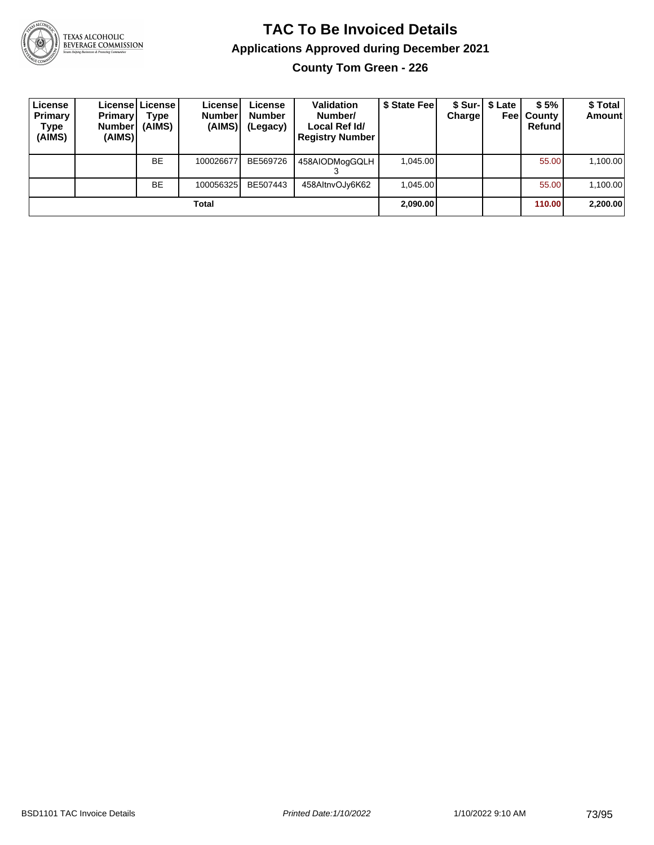

**County Tom Green - 226**

| License<br>Primary<br>Type<br>(AIMS) | <b>Primary</b><br>Number<br>(AIMS) | License   License  <br>Type<br>(AIMS) | License<br><b>Numberl</b><br>(AIMS) | License<br><b>Number</b><br>(Legacy) | <b>Validation</b><br>Number/<br>Local Ref Id/<br><b>Registry Number</b> | \$ State Feel | <b>Charge</b> | \$ Sur-  \$ Late | \$5%<br><b>Feel County</b><br>Refund | \$ Total<br>Amount |
|--------------------------------------|------------------------------------|---------------------------------------|-------------------------------------|--------------------------------------|-------------------------------------------------------------------------|---------------|---------------|------------------|--------------------------------------|--------------------|
|                                      |                                    | <b>BE</b>                             | 100026677                           | BE569726                             | 458AIODMogGQLH                                                          | 1.045.00      |               |                  | 55.00                                | 1,100.00           |
|                                      |                                    | <b>BE</b>                             | 100056325                           | BE507443                             | 458AltnvOJy6K62                                                         | 1,045.00      |               |                  | 55.00                                | 1,100.00           |
|                                      |                                    |                                       | Total                               |                                      |                                                                         | 2,090.00      |               |                  | 110.00                               | 2,200.00           |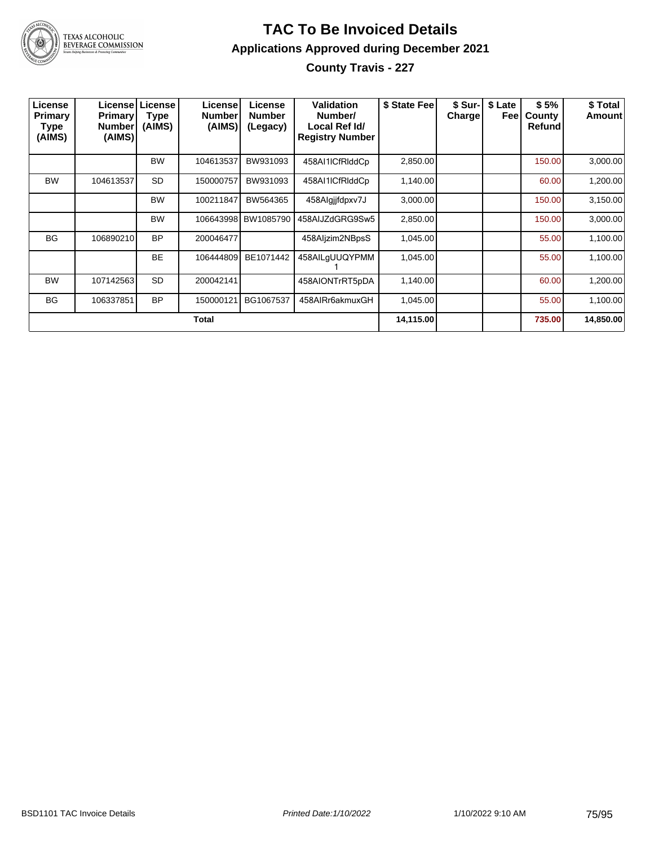

**County Travis - 227**

| License<br>Primary<br><b>Type</b><br>(AIMS) | <b>Primary</b><br><b>Number</b><br>(AIMS) | <b>License   License</b><br><b>Type</b><br>(AIMS) | Licensel<br><b>Number</b><br>(AIMS) | License<br><b>Number</b><br>(Legacy) | Validation<br>Number/<br>Local Ref Id/<br><b>Registry Number</b> | \$ State Fee | \$ Sur-<br>Charge | \$ Late<br>Feel | \$5%<br>County<br>Refund | \$ Total<br>Amount |
|---------------------------------------------|-------------------------------------------|---------------------------------------------------|-------------------------------------|--------------------------------------|------------------------------------------------------------------|--------------|-------------------|-----------------|--------------------------|--------------------|
|                                             |                                           | <b>BW</b>                                         | 104613537                           | BW931093                             | 458AI1ICfRIddCp                                                  | 2,850.00     |                   |                 | 150.00                   | 3,000.00           |
| <b>BW</b>                                   | 104613537                                 | <b>SD</b>                                         | 150000757                           | BW931093                             | 458AI1ICfRIddCp                                                  | 1,140.00     |                   |                 | 60.00                    | 1,200.00           |
|                                             |                                           | <b>BW</b>                                         | 100211847                           | BW564365                             | 458Algjjfdpxv7J                                                  | 3,000.00     |                   |                 | 150.00                   | 3,150.00           |
|                                             |                                           | <b>BW</b>                                         | 106643998                           | BW1085790                            | 458AIJZdGRG9Sw5                                                  | 2,850.00     |                   |                 | 150.00                   | 3,000.00           |
| <b>BG</b>                                   | 106890210                                 | <b>BP</b>                                         | 200046477                           |                                      | 458Aljzim2NBpsS                                                  | 1,045.00     |                   |                 | 55.00                    | 1,100.00           |
|                                             |                                           | <b>BE</b>                                         | 106444809                           | BE1071442                            | 458AILgUUQYPMM                                                   | 1,045.00     |                   |                 | 55.00                    | 1,100.00           |
| <b>BW</b>                                   | 107142563                                 | SD                                                | 200042141                           |                                      | 458AIONTrRT5pDA                                                  | 1,140.00     |                   |                 | 60.00                    | 1,200.00           |
| <b>BG</b>                                   | 106337851                                 | <b>BP</b>                                         | 150000121                           | BG1067537                            | 458AIRr6akmuxGH                                                  | 1,045.00     |                   |                 | 55.00                    | 1,100.00           |
|                                             |                                           |                                                   | Total                               |                                      |                                                                  | 14,115.00    |                   |                 | 735.00                   | 14,850.00          |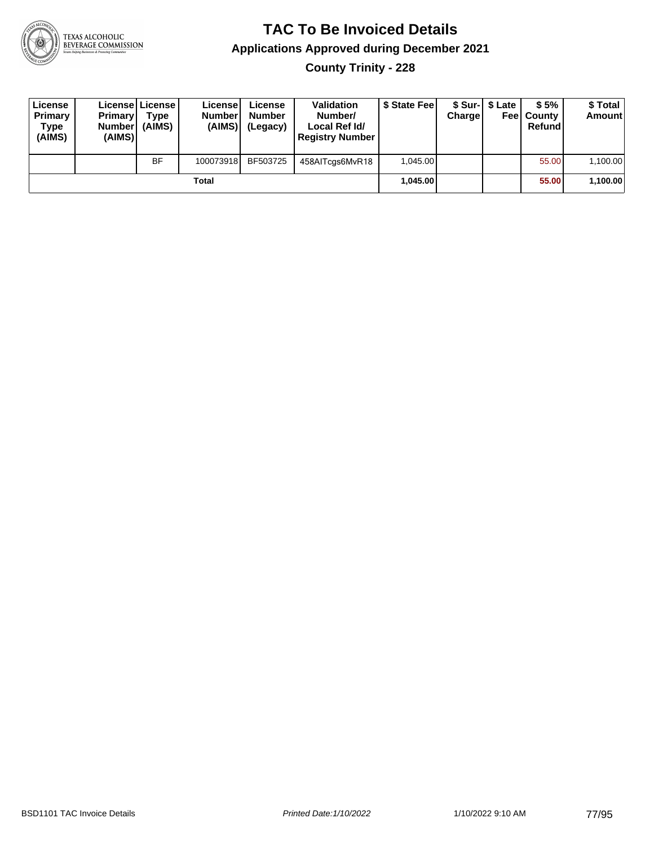

**County Trinity - 228**

| License<br>Primary<br>Type<br>(AIMS) | <b>Primary</b><br><b>Number</b><br>(AIMS) | License   License  <br>Type<br>(AIMS) | License<br><b>Number</b><br>(AIMS) | License<br><b>Number</b><br>(Legacy) | <b>Validation</b><br>Number/<br>Local Ref Id/<br><b>Registry Number</b> | \$ State Feel | Charge | \$ Sur-1 \$ Late | \$5%<br><b>Feel County</b><br>Refund | \$ Total<br>Amount |
|--------------------------------------|-------------------------------------------|---------------------------------------|------------------------------------|--------------------------------------|-------------------------------------------------------------------------|---------------|--------|------------------|--------------------------------------|--------------------|
|                                      |                                           | <b>BF</b>                             | 100073918                          | BF503725                             | 458AITcgs6MvR18                                                         | 1.045.00      |        |                  | 55.00                                | 1,100.00           |
|                                      |                                           |                                       | Total                              |                                      |                                                                         | 1.045.00      |        |                  | 55.00                                | 1,100.00           |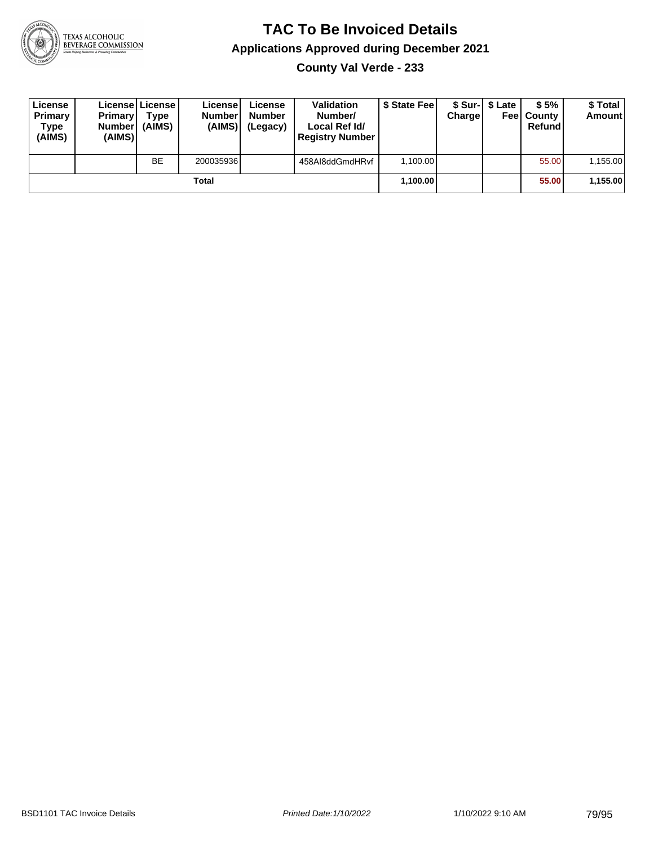

**County Val Verde - 233**

| License<br>Primary<br>Type<br>(AIMS) | <b>Primary</b><br>Number<br>(AIMS) | License License<br>Type<br>(AIMS) | License<br><b>Number</b><br>(AIMS) | License<br><b>Number</b><br>(Legacy) | <b>Validation</b><br>Number/<br>Local Ref Id/<br><b>Registry Number</b> | \$ State Fee | Charge | \$ Sur-1 \$ Late | \$5%<br><b>Feel County</b><br>Refund | \$ Total<br><b>Amount</b> |
|--------------------------------------|------------------------------------|-----------------------------------|------------------------------------|--------------------------------------|-------------------------------------------------------------------------|--------------|--------|------------------|--------------------------------------|---------------------------|
|                                      |                                    | <b>BE</b>                         | 200035936                          |                                      | 458AI8ddGmdHRvf                                                         | 1.100.00     |        |                  | 55.00                                | 1,155.00                  |
|                                      |                                    |                                   | Total                              |                                      |                                                                         | 1.100.00     |        |                  | 55.00                                | 1,155.00                  |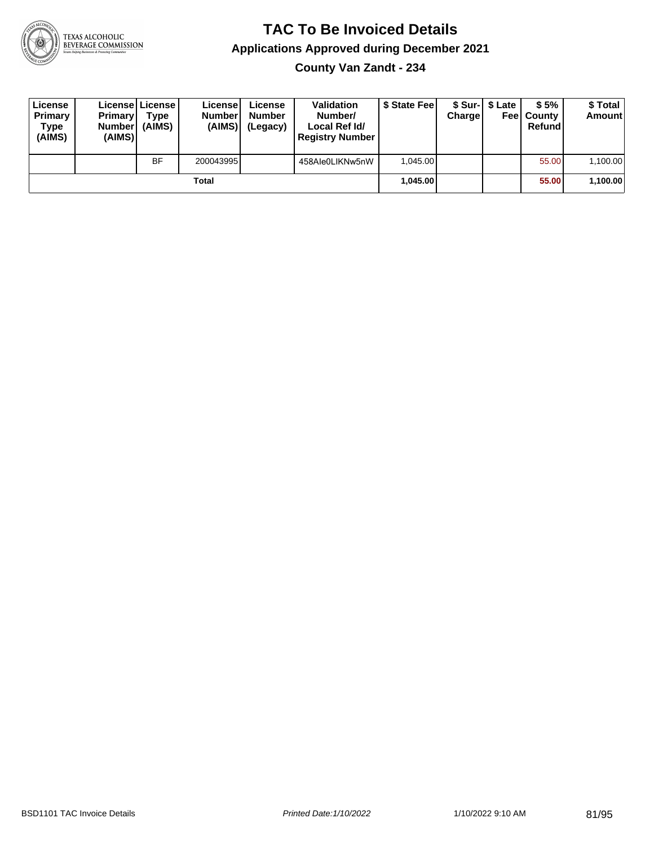

**County Van Zandt - 234**

| License<br>Primary<br>Type<br>(AIMS) | <b>Primary</b><br><b>Number</b><br>(AIMS) | License   License  <br>Type<br>(AIMS) | License<br><b>Number</b><br>(AIMS) | License<br><b>Number</b><br>(Legacy) | <b>Validation</b><br>Number/<br>Local Ref Id/<br><b>Registry Number</b> | \$ State Fee | Charge | \$ Sur-1 \$ Late | \$5%<br><b>Feel County</b><br>Refund | \$ Total<br><b>Amount</b> |
|--------------------------------------|-------------------------------------------|---------------------------------------|------------------------------------|--------------------------------------|-------------------------------------------------------------------------|--------------|--------|------------------|--------------------------------------|---------------------------|
|                                      |                                           | <b>BF</b>                             | 200043995                          |                                      | 458Ale0LIKNw5nW                                                         | 1.045.00     |        |                  | 55.00                                | 1,100.00                  |
|                                      |                                           |                                       | Total                              |                                      |                                                                         | 1.045.00     |        |                  | 55.00                                | 1,100.00                  |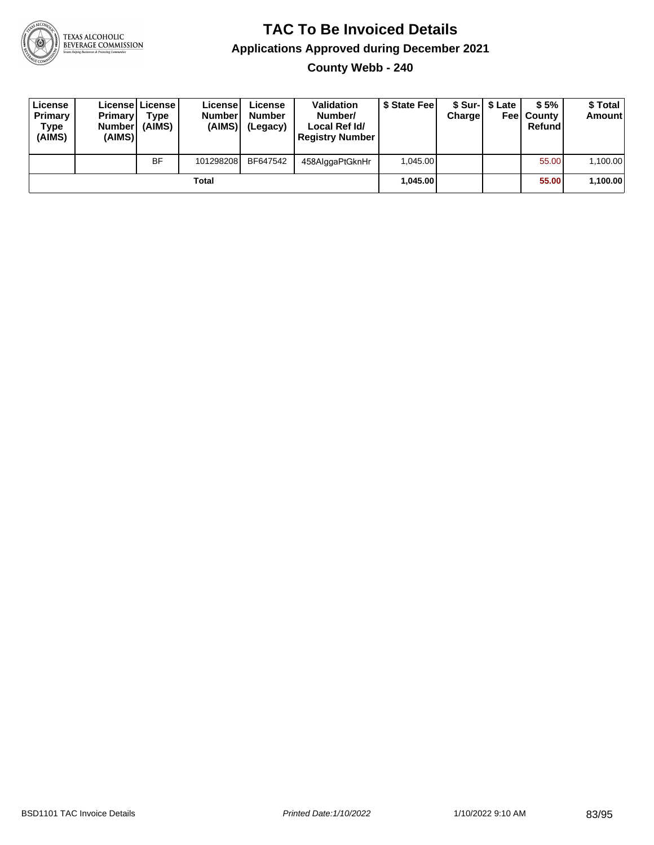

**County Webb - 240**

| License<br>Primary<br>Type<br>(AIMS) | <b>Primary</b><br><b>Number</b><br>(AIMS) | License   License  <br>Type<br>(AIMS) | License<br><b>Numberl</b><br>(AIMS) | License<br><b>Number</b><br>(Legacy) | <b>Validation</b><br>Number/<br>Local Ref Id/<br><b>Registry Number</b> | \$ State Feel | Charge | \$ Sur-1 \$ Late | \$5%<br><b>Feel County</b><br>Refund | \$ Total<br>Amount |
|--------------------------------------|-------------------------------------------|---------------------------------------|-------------------------------------|--------------------------------------|-------------------------------------------------------------------------|---------------|--------|------------------|--------------------------------------|--------------------|
|                                      |                                           | <b>BF</b>                             | 101298208                           | BF647542                             | 458AlggaPtGknHr                                                         | 1.045.00      |        |                  | 55.00                                | 1,100.00           |
|                                      |                                           |                                       | Total                               |                                      |                                                                         | 1.045.00      |        |                  | 55.00                                | 1,100.00           |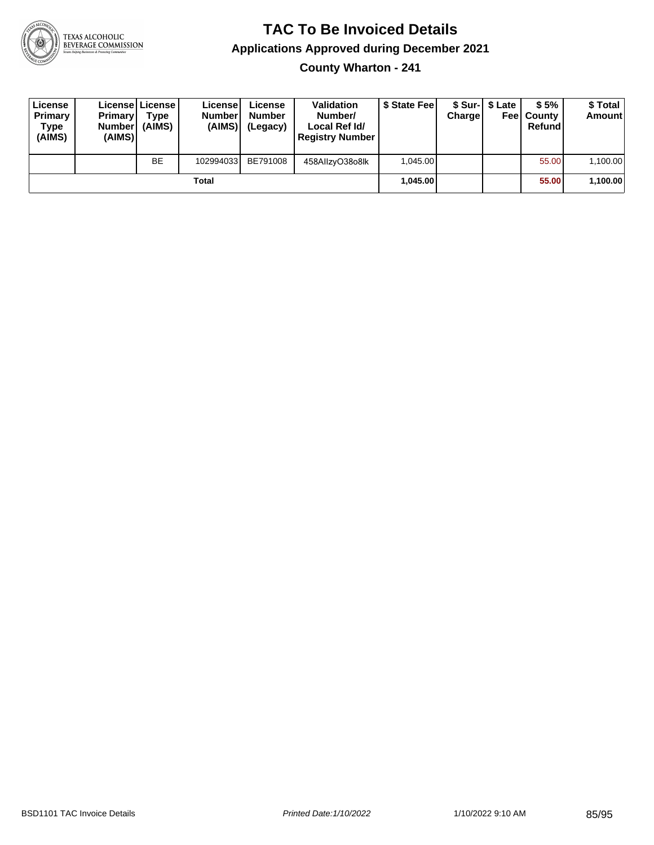

**County Wharton - 241**

| License<br>Primary<br>Type<br>(AIMS) | <b>Primary</b><br><b>Number</b><br>(AIMS)I | <b>License   License</b><br>Type<br>(AIMS) | License<br><b>Number</b><br>(AIMS) | License<br><b>Number</b><br>(Legacy) | <b>Validation</b><br>Number/<br>Local Ref Id/<br><b>Registry Number</b> | \$ State Feel | Charge | \$ Sur-1 \$ Late | \$5%<br><b>Feel County</b><br>Refund | \$ Total<br><b>Amount</b> |
|--------------------------------------|--------------------------------------------|--------------------------------------------|------------------------------------|--------------------------------------|-------------------------------------------------------------------------|---------------|--------|------------------|--------------------------------------|---------------------------|
|                                      |                                            | <b>BE</b>                                  | 102994033                          | BE791008                             | 458AllzyO38o8lk                                                         | 1.045.00      |        |                  | 55.00                                | 1,100.00                  |
|                                      |                                            |                                            | Total                              |                                      |                                                                         | 1.045.00      |        |                  | 55.00                                | 1,100.00                  |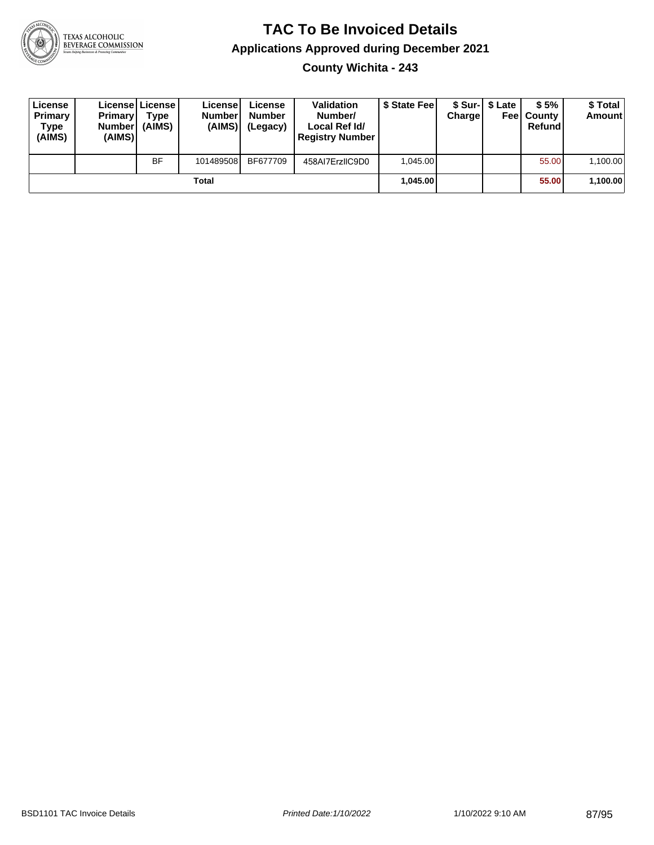

**County Wichita - 243**

| License<br>Primary<br>Type<br>(AIMS) | <b>Primary</b><br><b>Number</b><br>(AIMS) | <b>License   License</b><br>Type<br>(AIMS) | License<br><b>Number</b><br>(AIMS) | License<br><b>Number</b><br>(Legacy) | <b>Validation</b><br>Number/<br>Local Ref Id/<br><b>Registry Number</b> | \$ State Feel | Charge | \$ Sur-1 \$ Late | \$5%<br><b>Feel County</b><br>Refund | \$ Total<br><b>Amount</b> |
|--------------------------------------|-------------------------------------------|--------------------------------------------|------------------------------------|--------------------------------------|-------------------------------------------------------------------------|---------------|--------|------------------|--------------------------------------|---------------------------|
|                                      |                                           | <b>BF</b>                                  | 101489508                          | BF677709                             | 458AI7ErzIIC9D0                                                         | 1.045.00      |        |                  | 55.00                                | 1,100.00                  |
|                                      |                                           |                                            | Total                              |                                      |                                                                         | 1.045.00      |        |                  | 55.00                                | 1,100.00                  |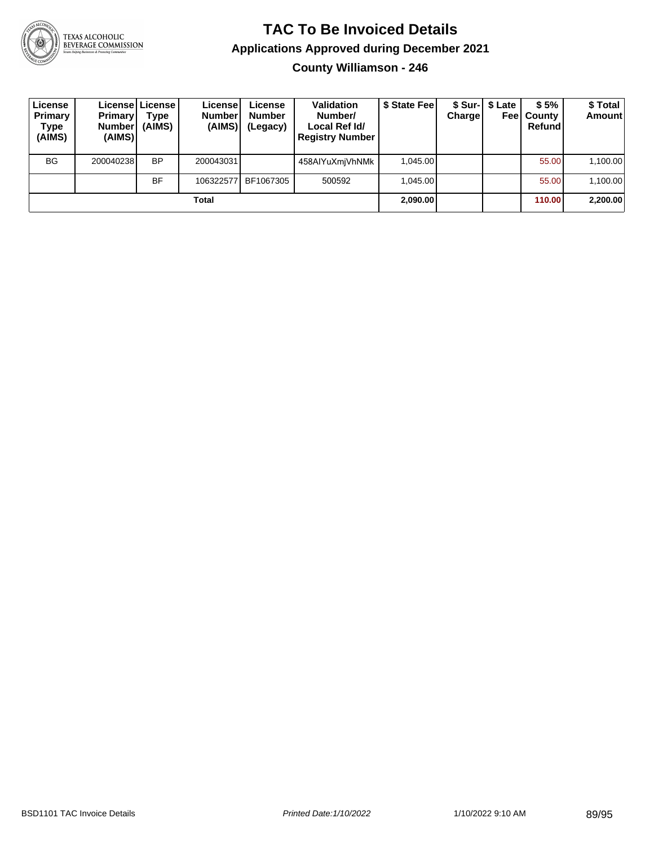

**County Williamson - 246**

| License<br>Primary<br>Type<br>(AIMS) | <b>Primary</b><br><b>Number</b><br>(AIMS) | License   License  <br>Type<br>(AIMS) | License<br><b>Number</b><br>(AIMS) | License<br><b>Number</b><br>(Legacy) | <b>Validation</b><br>Number/<br>Local Ref Id/<br><b>Registry Number</b> | \$ State Fee | Charge | \$ Sur-1 \$ Late<br>Feel | \$5%<br>. County<br>Refund | \$Total<br><b>Amount</b> |
|--------------------------------------|-------------------------------------------|---------------------------------------|------------------------------------|--------------------------------------|-------------------------------------------------------------------------|--------------|--------|--------------------------|----------------------------|--------------------------|
| <b>BG</b>                            | 200040238                                 | <b>BP</b>                             | 200043031                          |                                      | 458AIYuXmiVhNMk                                                         | 1.045.00     |        |                          | 55.00                      | 1,100.00                 |
|                                      |                                           | BF                                    | 106322577                          | BF1067305                            | 500592                                                                  | 1.045.00     |        |                          | 55.00                      | 1,100.00                 |
|                                      |                                           |                                       | Total                              |                                      |                                                                         | 2,090.00     |        |                          | 110.00                     | 2,200.00                 |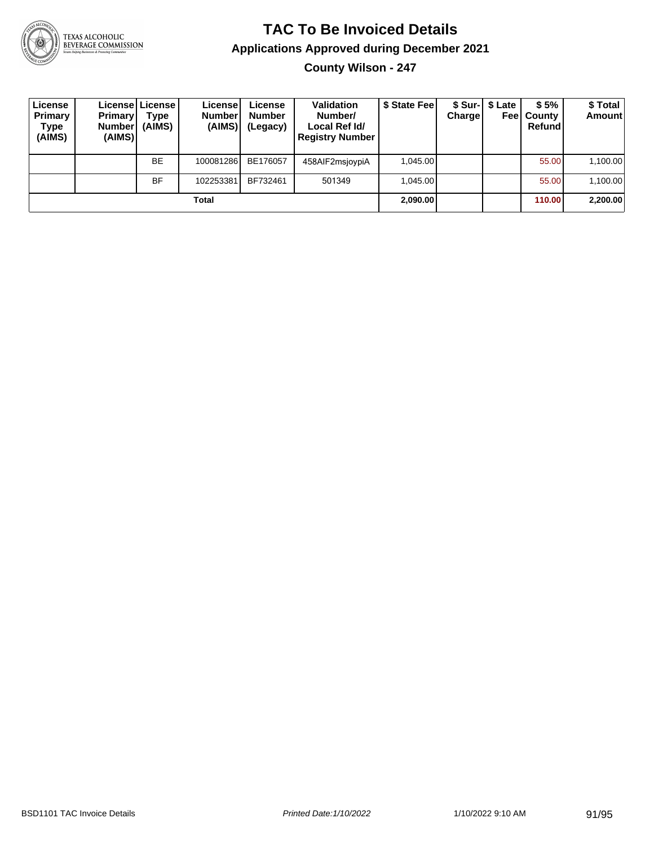

# TEXAS ALCOHOLIC<br>BEVERAGE COMMISSION

## **TAC To Be Invoiced Details Applications Approved during December 2021**

**County Wilson - 247**

| License<br>Primary<br>Type<br>(AIMS) | <b>Primary</b><br><b>Number</b><br>(AIMS) | Licensel License I<br>Type<br>(AIMS) | License<br><b>Number</b><br>(AIMS) | License<br><b>Number</b><br>(Legacy) | <b>Validation</b><br>Number/<br>Local Ref Id/<br><b>Registry Number</b> | \$ State Feel | Charge | \$ Sur-   \$ Late<br>Feel | \$5%<br>County<br>Refund | \$Total<br><b>Amount</b> |
|--------------------------------------|-------------------------------------------|--------------------------------------|------------------------------------|--------------------------------------|-------------------------------------------------------------------------|---------------|--------|---------------------------|--------------------------|--------------------------|
|                                      |                                           | <b>BE</b>                            | 100081286                          | BE176057                             | 458AIF2msjovpiA                                                         | 1.045.00      |        |                           | 55.00                    | 1,100.00                 |
|                                      |                                           | <b>BF</b>                            | 102253381                          | BF732461                             | 501349                                                                  | 1.045.00      |        |                           | 55.00                    | 1,100.00                 |
|                                      |                                           |                                      | Total                              |                                      |                                                                         | 2,090.00      |        |                           | 110.00                   | 2,200.00                 |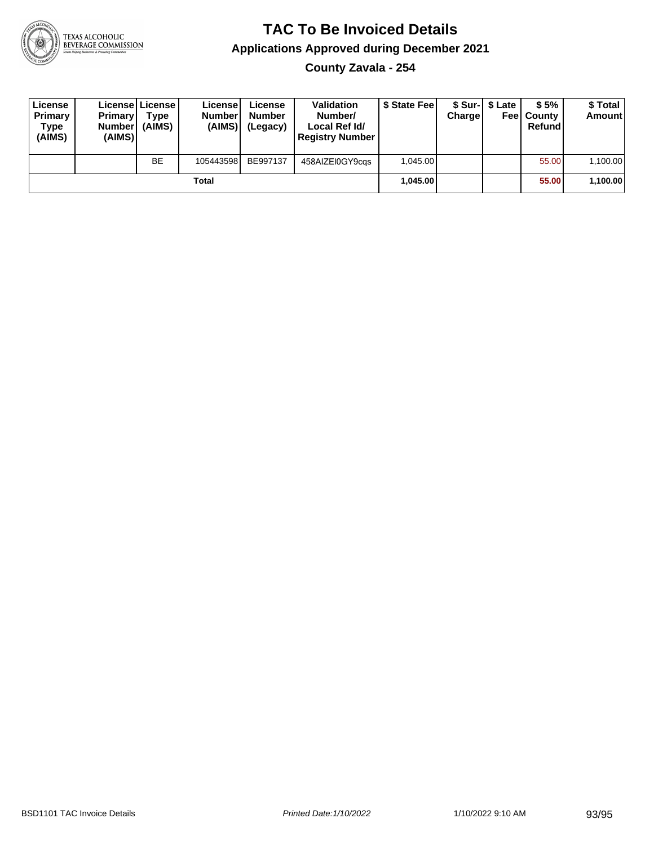

**County Zavala - 254**

| License<br>Primary<br>Type<br>(AIMS) | <b>Primary</b><br>Number<br>(AIMS) | License   License  <br>Type<br>(AIMS) | License<br><b>Number</b><br>(AIMS) | License<br><b>Number</b><br>(Legacy) | <b>Validation</b><br>Number/<br>Local Ref Id/<br><b>Registry Number</b> | \$ State Feel | Chargel | \$ Sur-1 \$ Late | \$5%<br><b>Feel County</b><br>Refund | \$ Total<br><b>Amount</b> |
|--------------------------------------|------------------------------------|---------------------------------------|------------------------------------|--------------------------------------|-------------------------------------------------------------------------|---------------|---------|------------------|--------------------------------------|---------------------------|
|                                      |                                    | <b>BE</b>                             | 105443598                          | BE997137                             | 458AIZEI0GY9cgs                                                         | 1.045.00      |         |                  | 55.00                                | 1,100.00                  |
|                                      |                                    |                                       | Total                              |                                      |                                                                         | 1.045.00      |         |                  | 55.00                                | 1,100.00                  |